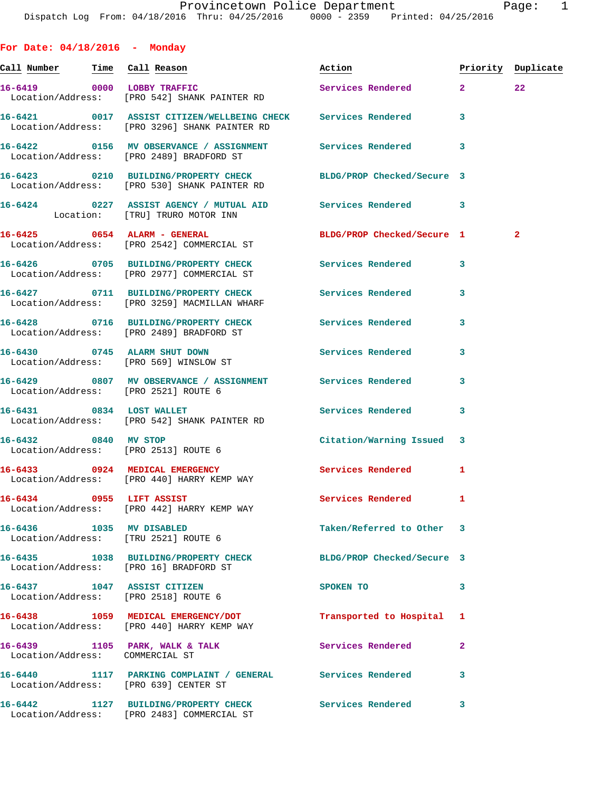**For Date: 04/18/2016 - Monday**

| Call Number Time Call Reason          |                                                                                                                | Action                     |    | Priority Duplicate |
|---------------------------------------|----------------------------------------------------------------------------------------------------------------|----------------------------|----|--------------------|
|                                       | 16-6419 0000 LOBBY TRAFFIC<br>Location/Address: [PRO 542] SHANK PAINTER RD                                     | Services Rendered 2        |    | 22 <sub>2</sub>    |
|                                       | 16-6421 0017 ASSIST CITIZEN/WELLBEING CHECK Services Rendered<br>Location/Address: [PRO 3296] SHANK PAINTER RD |                            | 3  |                    |
|                                       | 16-6422   0156 MV OBSERVANCE / ASSIGNMENT   Services Rendered<br>Location/Address: [PRO 2489] BRADFORD ST      |                            | 3  |                    |
|                                       | 16-6423 0210 BUILDING/PROPERTY CHECK<br>Location/Address: [PRO 530] SHANK PAINTER RD                           | BLDG/PROP Checked/Secure 3 |    |                    |
|                                       | 16-6424 0227 ASSIST AGENCY / MUTUAL AID Services Rendered 3<br>Location: [TRU] TRURO MOTOR INN                 |                            |    |                    |
|                                       | 16-6425 0654 ALARM - GENERAL<br>Location/Address: [PRO 2542] COMMERCIAL ST                                     | BLDG/PROP Checked/Secure 1 |    | $\mathbf{2}$       |
|                                       | 16-6426 		 0705 BUILDING/PROPERTY CHECK 		 Services Rendered<br>Location/Address: [PRO 2977] COMMERCIAL ST     |                            | 3  |                    |
|                                       | 16-6427 0711 BUILDING/PROPERTY CHECK Services Rendered<br>Location/Address: [PRO 3259] MACMILLAN WHARF         |                            | 3  |                    |
|                                       | 16-6428 0716 BUILDING/PROPERTY CHECK Services Rendered<br>Location/Address: [PRO 2489] BRADFORD ST             |                            | 3  |                    |
|                                       | 16-6430 0745 ALARM SHUT DOWN<br>Location/Address: [PRO 569] WINSLOW ST                                         | Services Rendered          | 3  |                    |
| Location/Address: [PRO 2521] ROUTE 6  | 16-6429 6807 MV OBSERVANCE / ASSIGNMENT Services Rendered                                                      |                            | 3  |                    |
| 16-6431 0834 LOST WALLET              | Location/Address: [PRO 542] SHANK PAINTER RD                                                                   | Services Rendered          | 3  |                    |
| 16-6432 0840 MV STOP                  | Location/Address: [PRO 2513] ROUTE 6                                                                           | Citation/Warning Issued 3  |    |                    |
|                                       | 16-6433 0924 MEDICAL EMERGENCY<br>Location/Address: [PRO 440] HARRY KEMP WAY                                   | <b>Services Rendered</b>   | 1  |                    |
| 16-6434 0955 LIFT ASSIST              | Location/Address: [PRO 442] HARRY KEMP WAY                                                                     | Services Rendered          | -1 |                    |
| 16-6436 1035 MV DISABLED              | Location/Address: [TRU 2521] ROUTE 6                                                                           | Taken/Referred to Other 3  |    |                    |
|                                       | 16-6435 1038 BUILDING/PROPERTY CHECK<br>Location/Address: [PRO 16] BRADFORD ST                                 | BLDG/PROP Checked/Secure 3 |    |                    |
| 16-6437 1047 ASSIST CITIZEN           | Location/Address: [PRO 2518] ROUTE 6                                                                           | SPOKEN TO                  | 3  |                    |
|                                       | 16-6438 1059 MEDICAL EMERGENCY/DOT<br>Location/Address: [PRO 440] HARRY KEMP WAY                               | Transported to Hospital    | 1  |                    |
| Location/Address: COMMERCIAL ST       | 16-6439 1105 PARK, WALK & TALK                                                                                 | Services Rendered          | 2  |                    |
| Location/Address: [PRO 639] CENTER ST |                                                                                                                |                            | 3  |                    |
|                                       | 16-6442 1127 BUILDING/PROPERTY CHECK<br>Location/Address: [PRO 2483] COMMERCIAL ST                             | Services Rendered          | 3  |                    |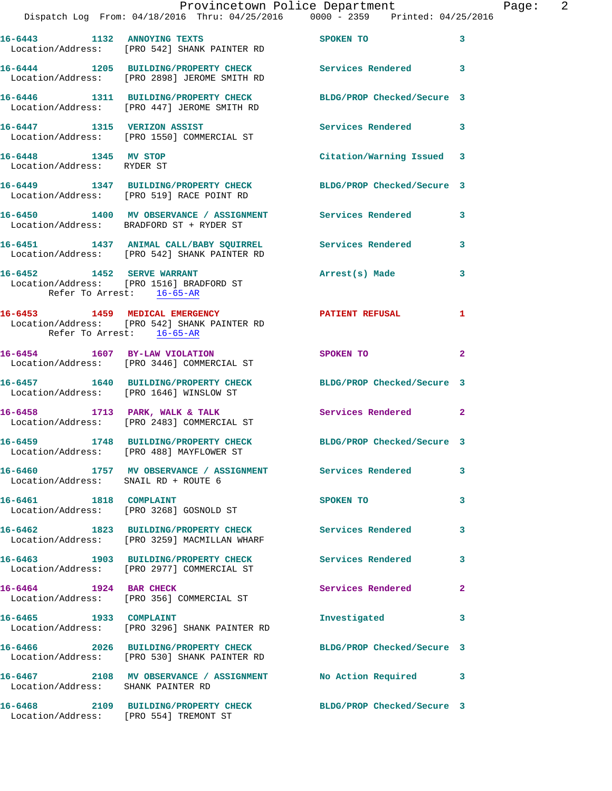|                                                    |                                                                                     | Provincetown Police Department                                                                               | E |
|----------------------------------------------------|-------------------------------------------------------------------------------------|--------------------------------------------------------------------------------------------------------------|---|
|                                                    |                                                                                     | Dispatch Log From: 04/18/2016 Thru: 04/25/2016 0000 - 2359 Printed: 04/25/2016                               |   |
|                                                    | 16-6443 1132 ANNOYING TEXTS<br>Location/Address: [PRO 542] SHANK PAINTER RD         | <b>SPOKEN TO</b>                                                                                             | 3 |
|                                                    | Location/Address: [PRO 2898] JEROME SMITH RD                                        | 16-6444 1205 BUILDING/PROPERTY CHECK Services Rendered                                                       | 3 |
|                                                    | 16-6446 1311 BUILDING/PROPERTY CHECK<br>Location/Address: [PRO 447] JEROME SMITH RD | BLDG/PROP Checked/Secure 3                                                                                   |   |
|                                                    | 16-6447 1315 VERIZON ASSIST<br>Location/Address: [PRO 1550] COMMERCIAL ST           | Services Rendered                                                                                            | 3 |
| 16-6448 1345 MV STOP<br>Location/Address: RYDER ST |                                                                                     | Citation/Warning Issued 3                                                                                    |   |
|                                                    |                                                                                     | 16-6449 1347 BUILDING/PROPERTY CHECK BLDG/PROP Checked/Secure 3<br>Location/Address: [PRO 519] RACE POINT RD |   |
|                                                    | Location/Address: BRADFORD ST + RYDER ST                                            | 16-6450 1400 MV OBSERVANCE / ASSIGNMENT Services Rendered                                                    | 3 |
|                                                    | Location/Address: [PRO 542] SHANK PAINTER RD                                        | 16-6451 1437 ANIMAL CALL/BABY SQUIRREL Services Rendered                                                     | 3 |
| Refer To Arrest: 16-65-AR                          | 16-6452 1452 SERVE WARRANT<br>Location/Address: [PRO 1516] BRADFORD ST              | Arrest(s) Made                                                                                               | 3 |
| Refer To Arrest: 16-65-AR                          | 16-6453 1459 MEDICAL EMERGENCY<br>Location/Address: [PRO 542] SHANK PAINTER RD      | <b>PATIENT REFUSAL</b>                                                                                       | 1 |
|                                                    | 16-6454 1607 BY-LAW VIOLATION<br>Location/Address: [PRO 3446] COMMERCIAL ST         | SPOKEN TO                                                                                                    | 2 |
|                                                    | 16-6457 1640 BUILDING/PROPERTY CHECK<br>Location/Address: [PRO 1646] WINSLOW ST     | BLDG/PROP Checked/Secure 3                                                                                   |   |
|                                                    | 16-6458 1713 PARK, WALK & TALK<br>Location/Address: [PRO 2483] COMMERCIAL ST        | <b>Services Rendered</b>                                                                                     | 2 |
|                                                    | Location/Address: [PRO 488] MAYFLOWER ST                                            | 16-6459 1748 BUILDING/PROPERTY CHECK BLDG/PROP Checked/Secure 3                                              |   |
| Location/Address: SNAIL RD + ROUTE 6               |                                                                                     | 16-6460 1757 MV OBSERVANCE / ASSIGNMENT Services Rendered                                                    | 3 |
| 16-6461 1818 COMPLAINT                             | Location/Address: [PRO 3268] GOSNOLD ST                                             | SPOKEN TO                                                                                                    | 3 |
|                                                    | Location/Address: [PRO 3259] MACMILLAN WHARF                                        | 16-6462 1823 BUILDING/PROPERTY CHECK Services Rendered                                                       | 3 |
|                                                    | 16-6463 1903 BUILDING/PROPERTY CHECK<br>Location/Address: [PRO 2977] COMMERCIAL ST  | Services Rendered                                                                                            | 3 |
| 16-6464 1924 BAR CHECK                             | Location/Address: [PRO 356] COMMERCIAL ST                                           | Services Rendered                                                                                            | 2 |
|                                                    | 16-6465 1933 COMPLAINT<br>Location/Address: [PRO 3296] SHANK PAINTER RD             | Investigated                                                                                                 | 3 |
|                                                    | Location/Address: [PRO 530] SHANK PAINTER RD                                        | 16-6466 2026 BUILDING/PROPERTY CHECK BLDG/PROP Checked/Secure 3                                              |   |
| Location/Address: SHANK PAINTER RD                 |                                                                                     | 16-6467 2108 MV OBSERVANCE / ASSIGNMENT No Action Required                                                   | 3 |
| Location/Address: [PRO 554] TREMONT ST             | 16-6468 2109 BUILDING/PROPERTY CHECK                                                | BLDG/PROP Checked/Secure 3                                                                                   |   |

Page: 2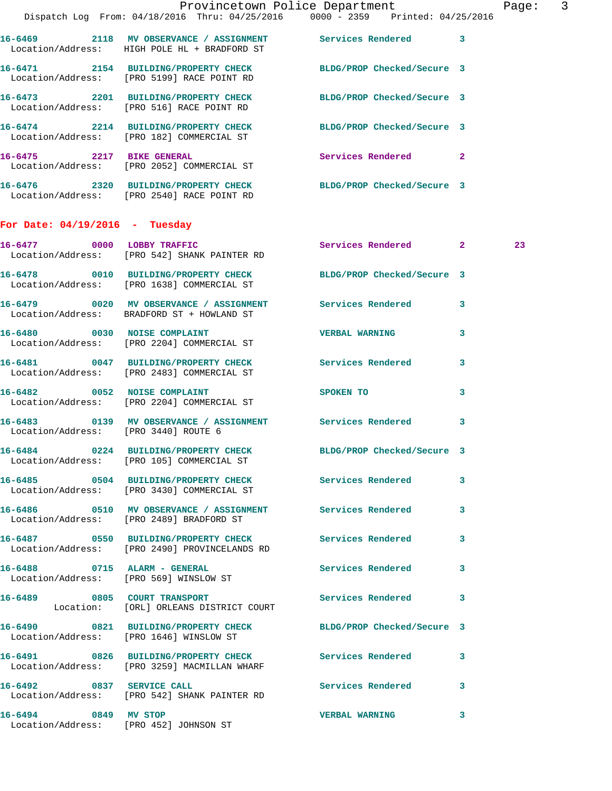|                                      | Dispatch Log From: 04/18/2016 Thru: 04/25/2016 0000 - 2359 Printed: 04/25/2016                                | Provincetown Police Department                       |   | Page: 3 |  |
|--------------------------------------|---------------------------------------------------------------------------------------------------------------|------------------------------------------------------|---|---------|--|
|                                      | 16-6469 2118 MV OBSERVANCE / ASSIGNMENT Services Rendered 3<br>Location/Address: HIGH POLE HL + BRADFORD ST   |                                                      |   |         |  |
|                                      | 16-6471 2154 BUILDING/PROPERTY CHECK BLDG/PROP Checked/Secure 3<br>Location/Address: [PRO 5199] RACE POINT RD |                                                      |   |         |  |
|                                      | 16-6473 2201 BUILDING/PROPERTY CHECK BLDG/PROP Checked/Secure 3<br>Location/Address: [PRO 516] RACE POINT RD  |                                                      |   |         |  |
|                                      | 16-6474 2214 BUILDING/PROPERTY CHECK BLDG/PROP Checked/Secure 3<br>Location/Address: [PRO 182] COMMERCIAL ST  |                                                      |   |         |  |
|                                      | 16-6475 2217 BIKE GENERAL<br>Location/Address: [PRO 2052] COMMERCIAL ST                                       | Services Rendered 2                                  |   |         |  |
|                                      | 16-6476 2320 BUILDING/PROPERTY CHECK BLDG/PROP Checked/Secure 3<br>Location/Address: [PRO 2540] RACE POINT RD |                                                      |   |         |  |
| For Date: $04/19/2016$ - Tuesday     |                                                                                                               |                                                      |   |         |  |
|                                      | 16-6477 0000 LOBBY TRAFFIC<br>Location/Address: [PRO 542] SHANK PAINTER RD                                    | Services Rendered 2                                  |   | 23      |  |
|                                      | 16-6478 0010 BUILDING/PROPERTY CHECK BLDG/PROP Checked/Secure 3<br>Location/Address: [PRO 1638] COMMERCIAL ST |                                                      |   |         |  |
|                                      | 16-6479 0020 MV OBSERVANCE / ASSIGNMENT Services Rendered 3<br>Location/Address: BRADFORD ST + HOWLAND ST     |                                                      |   |         |  |
|                                      | 16-6480 0030 NOISE COMPLAINT<br>Location/Address: [PRO 2204] COMMERCIAL ST                                    | <b>VERBAL WARNING</b>                                | 3 |         |  |
|                                      | 16-6481 0047 BUILDING/PROPERTY CHECK Services Rendered<br>Location/Address: [PRO 2483] COMMERCIAL ST          |                                                      | 3 |         |  |
|                                      | 16-6482 0052 NOISE COMPLAINT<br>Location/Address: [PRO 2204] COMMERCIAL ST                                    | SPOKEN TO AND TO A REAL PROPERTY OF A REAL PROPERTY. | 3 |         |  |
| Location/Address: [PRO 3440] ROUTE 6 | 16-6483  0139 MV OBSERVANCE / ASSIGNMENT Services Rendered                                                    |                                                      | 3 |         |  |
|                                      | 16-6484 0224 BUILDING/PROPERTY CHECK<br>Location/Address: [PRO 105] COMMERCIAL ST                             | BLDG/PROP Checked/Secure 3                           |   |         |  |
|                                      | 16-6485 0504 BUILDING/PROPERTY CHECK Services Rendered 3<br>Location/Address: [PRO 3430] COMMERCIAL ST        |                                                      |   |         |  |
|                                      | 16-6486   0510 MV OBSERVANCE / ASSIGNMENT   Services Rendered<br>Location/Address: [PRO 2489] BRADFORD ST     |                                                      | 3 |         |  |
|                                      | 16-6487 		 0550 BUILDING/PROPERTY CHECK Services Rendered<br>Location/Address: [PRO 2490] PROVINCELANDS RD    |                                                      | 3 |         |  |
|                                      | 16-6488 0715 ALARM - GENERAL<br>Location/Address: [PRO 569] WINSLOW ST                                        | <b>Services Rendered</b>                             | 3 |         |  |
|                                      | 16-6489 0805 COURT TRANSPORT<br>Location: [ORL] ORLEANS DISTRICT COURT                                        | <b>Services Rendered</b>                             | 3 |         |  |
|                                      | 16-6490 0821 BUILDING/PROPERTY CHECK BLDG/PROP Checked/Secure 3<br>Location/Address: [PRO 1646] WINSLOW ST    |                                                      |   |         |  |
|                                      | 16-6491 0826 BUILDING/PROPERTY CHECK Services Rendered<br>Location/Address: [PRO 3259] MACMILLAN WHARF        |                                                      | 3 |         |  |
| 16-6492 0837 SERVICE CALL            | Location/Address: [PRO 542] SHANK PAINTER RD                                                                  | <b>Services Rendered</b> 3                           |   |         |  |
| 16-6494 0849 MV STOP                 | Location/Address: [PRO 452] JOHNSON ST                                                                        | <b>VERBAL WARNING</b>                                | 3 |         |  |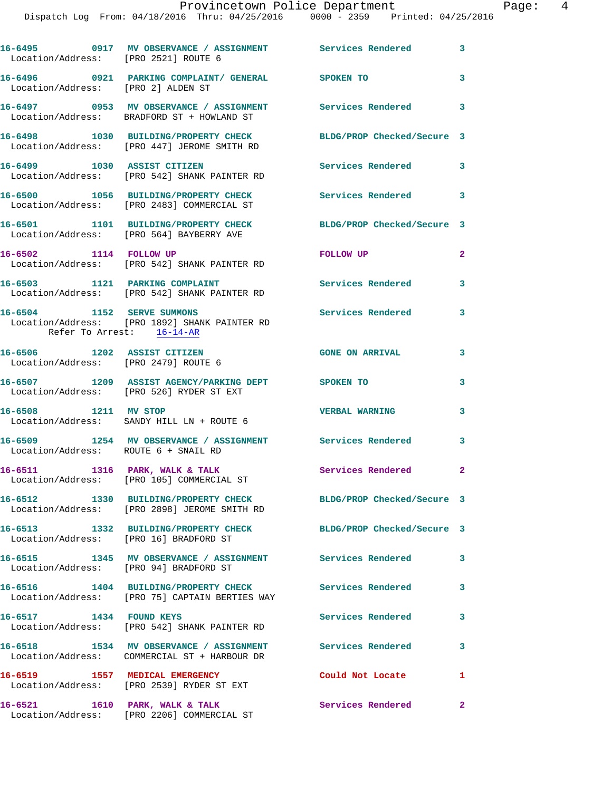| Location/Address: [PRO 2521] ROUTE 6                                | 16-6495 		 0917 MV OBSERVANCE / ASSIGNMENT Services Rendered                                                    |                               | $\mathbf{3}$ |
|---------------------------------------------------------------------|-----------------------------------------------------------------------------------------------------------------|-------------------------------|--------------|
| Location/Address: [PRO 2] ALDEN ST                                  | 16-6496   0921   PARKING COMPLAINT/ GENERAL   SPOKEN TO                                                         |                               | 3            |
|                                                                     | 16-6497 0953 MV OBSERVANCE / ASSIGNMENT Services Rendered<br>Location/Address: BRADFORD ST + HOWLAND ST         |                               | 3            |
|                                                                     | 16-6498 1030 BUILDING/PROPERTY CHECK<br>Location/Address: [PRO 447] JEROME SMITH RD                             | BLDG/PROP Checked/Secure 3    |              |
|                                                                     | 16-6499 1030 ASSIST CITIZEN<br>Location/Address: [PRO 542] SHANK PAINTER RD                                     | Services Rendered             | 3            |
|                                                                     | 16-6500 1056 BUILDING/PROPERTY CHECK<br>Location/Address: [PRO 2483] COMMERCIAL ST                              | <b>Services Rendered</b> 3    |              |
|                                                                     | 16-6501 1101 BUILDING/PROPERTY CHECK<br>Location/Address: [PRO 564] BAYBERRY AVE                                | BLDG/PROP Checked/Secure 3    |              |
| 16-6502 1114 FOLLOW UP                                              | Location/Address: [PRO 542] SHANK PAINTER RD                                                                    | FOLLOW UP                     | $\mathbf{2}$ |
|                                                                     | 16-6503 1121 PARKING COMPLAINT<br>Location/Address: [PRO 542] SHANK PAINTER RD                                  | <b>Services Rendered</b>      | 3            |
| 16-6504 1152 SERVE SUMMONS<br>Refer To Arrest: 16-14-AR             | Location/Address: [PRO 1892] SHANK PAINTER RD                                                                   | <b>Services Rendered</b>      | 3            |
| 16-6506 1202 ASSIST CITIZEN<br>Location/Address: [PRO 2479] ROUTE 6 |                                                                                                                 | <b>GONE ON ARRIVAL</b>        | 3            |
|                                                                     | 16-6507 1209 ASSIST AGENCY/PARKING DEPT SPOKEN TO<br>Location/Address: [PRO 526] RYDER ST EXT                   |                               | 3            |
| 16-6508 1211 MV STOP                                                | Location/Address: SANDY HILL LN + ROUTE 6                                                                       | <b>VERBAL WARNING</b>         | 3            |
| Location/Address: ROUTE 6 + SNAIL RD                                | 16-6509 1254 MV OBSERVANCE / ASSIGNMENT Services Rendered                                                       |                               | 3            |
| 16-6511                                                             | 1316 PARK, WALK & TALK<br>Location/Address: [PRO 105] COMMERCIAL ST                                             | Services Rendered 2           |              |
|                                                                     | 16-6512 1330 BUILDING/PROPERTY CHECK BLDG/PROP Checked/Secure 3<br>Location/Address: [PRO 2898] JEROME SMITH RD |                               |              |
| Location/Address: [PRO 16] BRADFORD ST                              | 16-6513 1332 BUILDING/PROPERTY CHECK                                                                            | BLDG/PROP Checked/Secure 3    |              |
| Location/Address: [PRO 94] BRADFORD ST                              | 16-6515 1345 MV OBSERVANCE / ASSIGNMENT Services Rendered                                                       |                               | 3            |
|                                                                     | 16-6516 1404 BUILDING/PROPERTY CHECK<br>Location/Address: [PRO 75] CAPTAIN BERTIES WAY                          | Services Rendered             | 3            |
| 16-6517 1434 FOUND KEYS                                             | Location/Address: [PRO 542] SHANK PAINTER RD                                                                    | <b>Services Rendered</b>      | 3            |
|                                                                     | 16-6518 1534 MV OBSERVANCE / ASSIGNMENT<br>Location/Address: COMMERCIAL ST + HARBOUR DR                         | <b>Services Rendered</b>      | 3            |
|                                                                     | 16-6519 1557 MEDICAL EMERGENCY<br>Location/Address: [PRO 2539] RYDER ST EXT                                     | Could Not Locate              | 1            |
| 16-6521 1610 PARK, WALK & TALK                                      |                                                                                                                 | Services Rendered<br>$\sim$ 2 |              |

Location/Address: [PRO 2206] COMMERCIAL ST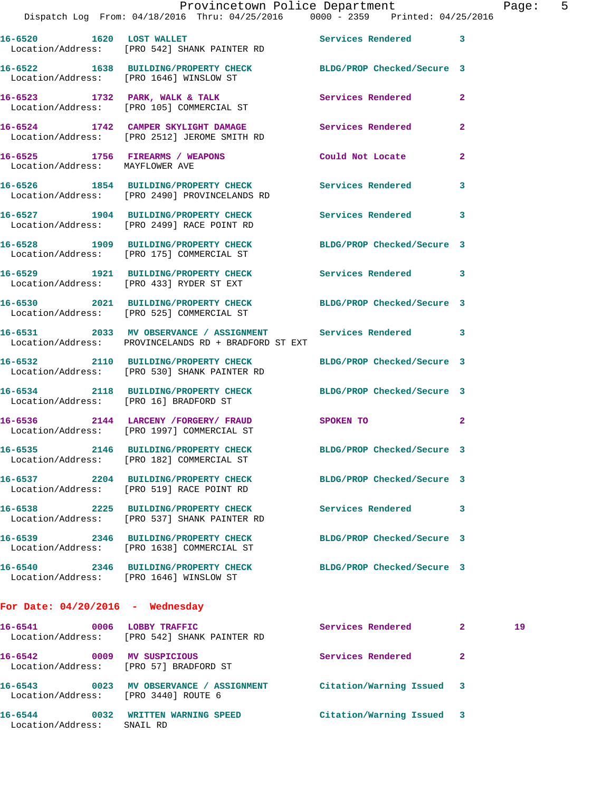|                                    | Provincetown Police Department<br>Dispatch Log From: 04/18/2016 Thru: 04/25/2016 0000 - 2359 Printed: 04/25/2016    |                     |                            | Page |
|------------------------------------|---------------------------------------------------------------------------------------------------------------------|---------------------|----------------------------|------|
|                                    | 16-6520 1620 LOST WALLET                                                                                            |                     |                            |      |
|                                    | 16-6522 1638 BUILDING/PROPERTY CHECK BLDG/PROP Checked/Secure 3<br>Location/Address: [PRO 1646] WINSLOW ST          |                     |                            |      |
|                                    | 16-6523 1732 PARK, WALK & TALK<br>Location/Address: [PRO 105] COMMERCIAL ST                                         | Services Rendered   | $\mathbf{2}$               |      |
|                                    | 16-6524 1742 CAMPER SKYLIGHT DAMAGE Services Rendered<br>Location/Address: [PRO 2512] JEROME SMITH RD               |                     | $\overline{2}$             |      |
|                                    | 16-6525 1756 FIREARMS / WEAPONS Could Not Locate<br>Location/Address: MAYFLOWER AVE                                 |                     | $\overline{2}$             |      |
|                                    | 16-6526 1854 BUILDING/PROPERTY CHECK Services Rendered<br>Location/Address: [PRO 2490] PROVINCELANDS RD             |                     | 3                          |      |
|                                    | 16-6527 1904 BUILDING/PROPERTY CHECK Services Rendered 3<br>Location/Address: [PRO 2499] RACE POINT RD              |                     |                            |      |
|                                    | 16-6528 1909 BUILDING/PROPERTY CHECK BLDG/PROP Checked/Secure 3<br>Location/Address: [PRO 175] COMMERCIAL ST        |                     |                            |      |
|                                    | 16-6529 1921 BUILDING/PROPERTY CHECK Services Rendered 3<br>Location/Address: [PRO 433] RYDER ST EXT                |                     |                            |      |
|                                    | 16-6530 2021 BUILDING/PROPERTY CHECK BLDG/PROP Checked/Secure 3<br>Location/Address: [PRO 525] COMMERCIAL ST        |                     |                            |      |
|                                    | 16-6531 2033 MV OBSERVANCE / ASSIGNMENT Services Rendered 3<br>Location/Address: PROVINCELANDS RD + BRADFORD ST EXT |                     |                            |      |
|                                    | 16-6532 2110 BUILDING/PROPERTY CHECK BLDG/PROP Checked/Secure 3<br>Location/Address: [PRO 530] SHANK PAINTER RD     |                     |                            |      |
|                                    | 16-6534 2118 BUILDING/PROPERTY CHECK BLDG/PROP Checked/Secure 3<br>Location/Address: [PRO 16] BRADFORD ST           |                     |                            |      |
|                                    | 16-6536 2144 LARCENY /FORGERY / FRAUD SPOKEN TO<br>Location/Address: [PRO 1997] COMMERCIAL ST                       |                     | $\overline{\phantom{0}}$ 2 |      |
|                                    | 16-6535 2146 BUILDING/PROPERTY CHECK BLDG/PROP Checked/Secure 3<br>Location/Address: [PRO 182] COMMERCIAL ST        |                     |                            |      |
|                                    | 16-6537 2204 BUILDING/PROPERTY CHECK BLDG/PROP Checked/Secure 3<br>Location/Address: [PRO 519] RACE POINT RD        |                     |                            |      |
|                                    | 16-6538 2225 BUILDING/PROPERTY CHECK Services Rendered<br>Location/Address: [PRO 537] SHANK PAINTER RD              |                     | 3                          |      |
|                                    | 16-6539 2346 BUILDING/PROPERTY CHECK BLDG/PROP Checked/Secure 3<br>Location/Address: [PRO 1638] COMMERCIAL ST       |                     |                            |      |
|                                    | 16-6540 2346 BUILDING/PROPERTY CHECK BLDG/PROP Checked/Secure 3<br>Location/Address: [PRO 1646] WINSLOW ST          |                     |                            |      |
| For Date: $04/20/2016$ - Wednesday |                                                                                                                     |                     |                            |      |
| 16-6541                            | 0006 LOBBY TRAFFIC<br>Location/Address: [PRO 542] SHANK PAINTER RD                                                  | Services Rendered 2 |                            | 19   |
|                                    | 16-6542 0009 MV SUSPICIOUS<br>Location/Address: [PRO 57] BRADFORD ST                                                | Services Rendered   | $\mathbf{2}$               |      |
|                                    | 16-6543 0023 MV OBSERVANCE / ASSIGNMENT Citation/Warning Issued 3<br>Location/Address: [PRO 3440] ROUTE 6           |                     |                            |      |
|                                    |                                                                                                                     |                     |                            |      |

**16-6544 0032 WRITTEN WARNING SPEED Citation/Warning Issued 3** 

Location/Address: SNAIL RD

age: 5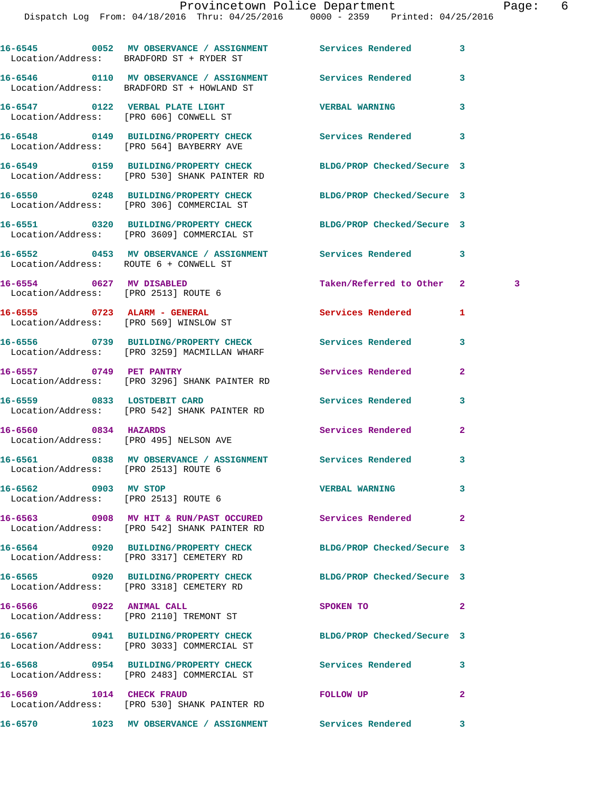**16-6545 0052 MV OBSERVANCE / ASSIGNMENT Services Rendered 3**  Location/Address: BRADFORD ST + RYDER ST **16-6546 0110 MV OBSERVANCE / ASSIGNMENT Services Rendered 3**  Location/Address: BRADFORD ST + HOWLAND ST **16-6547 0122 VERBAL PLATE LIGHT VERBAL WARNING 3**  Location/Address: [PRO 606] CONWELL ST **16-6548 0149 BUILDING/PROPERTY CHECK Services Rendered 3**  Location/Address: [PRO 564] BAYBERRY AVE **16-6549 0159 BUILDING/PROPERTY CHECK BLDG/PROP Checked/Secure 3**  Location/Address: [PRO 530] SHANK PAINTER RD **16-6550 0248 BUILDING/PROPERTY CHECK BLDG/PROP Checked/Secure 3**  Location/Address: [PRO 306] COMMERCIAL ST **16-6551 0320 BUILDING/PROPERTY CHECK BLDG/PROP Checked/Secure 3**  Location/Address: [PRO 3609] COMMERCIAL ST **16-6552 0453 MV OBSERVANCE / ASSIGNMENT Services Rendered 3**  Location/Address: ROUTE 6 + CONWELL ST **16-6554 0627 MV DISABLED Taken/Referred to Other 2 3**  Location/Address: [PRO 2513] ROUTE 6 **16-6555 0723 ALARM - GENERAL Services Rendered 1**  Location/Address: [PRO 569] WINSLOW ST **16-6556 0739 BUILDING/PROPERTY CHECK Services Rendered 3**  Location/Address: [PRO 3259] MACMILLAN WHARF **16-6557 0749 PET PANTRY Services Rendered 2**  Location/Address: [PRO 3296] SHANK PAINTER RD **16-6559 0833 LOSTDEBIT CARD Services Rendered 3**  Location/Address: [PRO 542] SHANK PAINTER RD **16-6560 0834 HAZARDS Services Rendered 2**  Location/Address: [PRO 495] NELSON AVE **16-6561 0838 MV OBSERVANCE / ASSIGNMENT Services Rendered 3**  Location/Address: [PRO 2513] ROUTE 6 **16-6562 0903 MV STOP VERBAL WARNING 3**  Location/Address: [PRO 2513] ROUTE 6 **16-6563 0908 MV HIT & RUN/PAST OCCURED Services Rendered 2**  Location/Address: [PRO 542] SHANK PAINTER RD **16-6564 0920 BUILDING/PROPERTY CHECK BLDG/PROP Checked/Secure 3**  Location/Address: [PRO 3317] CEMETERY RD **16-6565 0920 BUILDING/PROPERTY CHECK BLDG/PROP Checked/Secure 3**  Location/Address: [PRO 3318] CEMETERY RD 16-6566 0922 ANIMAL CALL SPOKEN TO 2 Location/Address: [PRO 2110] TREMONT ST **16-6567 0941 BUILDING/PROPERTY CHECK BLDG/PROP Checked/Secure 3**  Location/Address: [PRO 3033] COMMERCIAL ST **16-6568 0954 BUILDING/PROPERTY CHECK Services Rendered 3**  Location/Address: [PRO 2483] COMMERCIAL ST **16-6569 1014 CHECK FRAUD FOLLOW UP 2**  Location/Address: [PRO 530] SHANK PAINTER RD **16-6570 1023 MV OBSERVANCE / ASSIGNMENT Services Rendered 3**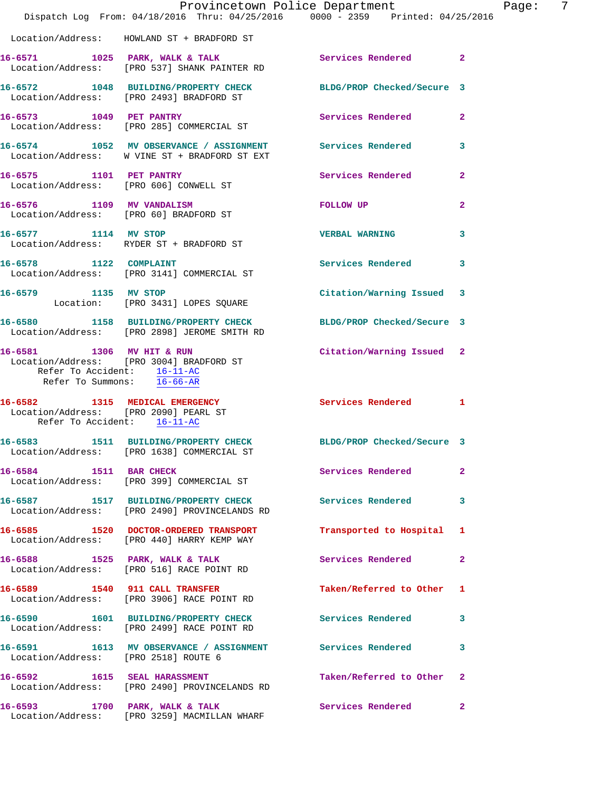|                                                                                        | Provincetown Police Department<br>Dispatch Log From: 04/18/2016 Thru: 04/25/2016 0000 - 2359 Printed: 04/25/2016 |                           | Page: 7        |
|----------------------------------------------------------------------------------------|------------------------------------------------------------------------------------------------------------------|---------------------------|----------------|
|                                                                                        | Location/Address: HOWLAND ST + BRADFORD ST                                                                       |                           |                |
|                                                                                        | 16-6571 1025 PARK, WALK & TALK<br>Location/Address: [PRO 537] SHANK PAINTER RD                                   | Services Rendered 2       |                |
|                                                                                        | 16-6572 1048 BUILDING/PROPERTY CHECK BLDG/PROP Checked/Secure 3<br>Location/Address: [PRO 2493] BRADFORD ST      |                           |                |
|                                                                                        | 16-6573 1049 PET PANTRY<br>Location/Address: [PRO 285] COMMERCIAL ST                                             | <b>Services Rendered</b>  | $\overline{2}$ |
|                                                                                        | 16-6574 1052 MV OBSERVANCE / ASSIGNMENT Services Rendered 3<br>Location/Address: W VINE ST + BRADFORD ST EXT     |                           |                |
|                                                                                        | 16-6575 1101 PET PANTRY<br>Location/Address: [PRO 606] CONWELL ST                                                | Services Rendered 2       |                |
|                                                                                        | 16-6576 1109 MV VANDALISM<br>Location/Address: [PRO 60] BRADFORD ST                                              | FOLLOW UP                 | $\overline{2}$ |
| 16-6577 1114 MV STOP                                                                   | Location/Address: RYDER ST + BRADFORD ST                                                                         | VERBAL WARNING 3          |                |
|                                                                                        | 16-6578 1122 COMPLAINT<br>Location/Address: [PRO 3141] COMMERCIAL ST                                             | Services Rendered 3       |                |
| 16-6579 1135 MV STOP                                                                   | Location: [PRO 3431] LOPES SQUARE                                                                                | Citation/Warning Issued 3 |                |
|                                                                                        | 16-6580 1158 BUILDING/PROPERTY CHECK BLDG/PROP Checked/Secure 3<br>Location/Address: [PRO 2898] JEROME SMITH RD  |                           |                |
| 16-6581 1306 MV HIT & RUN<br>Refer To Accident: 16-11-AC<br>Refer To Summons: 16-66-AR | Location/Address: [PRO 3004] BRADFORD ST                                                                         | Citation/Warning Issued 2 |                |
| Refer To Accident: 16-11-AC                                                            | 16-6582 1315 MEDICAL EMERGENCY Services Rendered 1<br>Location/Address: [PRO 2090] PEARL ST                      |                           |                |
|                                                                                        | 16-6583 1511 BUILDING/PROPERTY CHECK BLDG/PROP Checked/Secure 3<br>Location/Address: [PRO 1638] COMMERCIAL ST    |                           |                |
|                                                                                        | 16-6584 1511 BAR CHECK<br>Location/Address: [PRO 399] COMMERCIAL ST                                              | Services Rendered         | $\mathbf{2}$   |
|                                                                                        | 16-6587 1517 BUILDING/PROPERTY CHECK<br>Location/Address: [PRO 2490] PROVINCELANDS RD                            | <b>Services Rendered</b>  | 3              |
|                                                                                        | 16-6585 1520 DOCTOR-ORDERED TRANSPORT<br>Location/Address: [PRO 440] HARRY KEMP WAY                              | Transported to Hospital 1 |                |
|                                                                                        | 16-6588 1525 PARK, WALK & TALK<br>Location/Address: [PRO 516] RACE POINT RD                                      | Services Rendered         | $\mathbf{2}$   |
|                                                                                        | 16-6589 1540 911 CALL TRANSFER<br>Location/Address: [PRO 3906] RACE POINT RD                                     | Taken/Referred to Other 1 |                |
|                                                                                        | 16-6590 1601 BUILDING/PROPERTY CHECK<br>Location/Address: [PRO 2499] RACE POINT RD                               | <b>Services Rendered</b>  | 3              |
| Location/Address: [PRO 2518] ROUTE 6                                                   | 16-6591 1613 MV OBSERVANCE / ASSIGNMENT Services Rendered                                                        |                           | 3              |
|                                                                                        | 16-6592 1615 SEAL HARASSMENT<br>Location/Address: [PRO 2490] PROVINCELANDS RD                                    | Taken/Referred to Other   | $\overline{2}$ |
| 16-6593 1700 PARK, WALK & TALK                                                         | Location/Address: [PRO 3259] MACMILLAN WHARF                                                                     | Services Rendered 2       |                |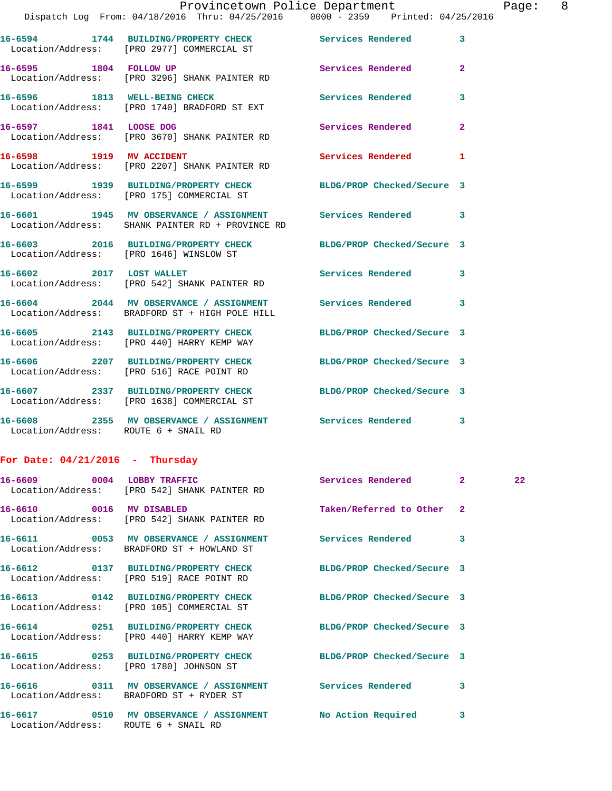|                                      | Provincetown Police Department<br>Dispatch Log From: 04/18/2016 Thru: 04/25/2016 0000 - 2359 Printed: 04/25/2016 |                            |                | Page |
|--------------------------------------|------------------------------------------------------------------------------------------------------------------|----------------------------|----------------|------|
|                                      | 16-6594 1744 BUILDING/PROPERTY CHECK Services Rendered<br>Location/Address: [PRO 2977] COMMERCIAL ST             |                            | 3              |      |
| 16-6595 1804 FOLLOW UP               | Location/Address: [PRO 3296] SHANK PAINTER RD                                                                    | Services Rendered          | 2              |      |
|                                      | 16-6596 1813 WELL-BEING CHECK<br>Location/Address: [PRO 1740] BRADFORD ST EXT                                    | Services Rendered          | 3              |      |
| 16-6597 1841 LOOSE DOG               | Location/Address: [PRO 3670] SHANK PAINTER RD                                                                    | Services Rendered          | $\overline{a}$ |      |
| 16-6598 1919 MV ACCIDENT             | Location/Address: [PRO 2207] SHANK PAINTER RD                                                                    | Services Rendered          | 1              |      |
|                                      | 16-6599 1939 BUILDING/PROPERTY CHECK BLDG/PROP Checked/Secure 3<br>Location/Address: [PRO 175] COMMERCIAL ST     |                            |                |      |
|                                      | 16-6601 1945 MV OBSERVANCE / ASSIGNMENT Services Rendered<br>Location/Address: SHANK PAINTER RD + PROVINCE RD    |                            | 3              |      |
|                                      | 16-6603 2016 BUILDING/PROPERTY CHECK BLDG/PROP Checked/Secure 3<br>Location/Address: [PRO 1646] WINSLOW ST       |                            |                |      |
|                                      | 16-6602 2017 LOST WALLET<br>Location/Address: [PRO 542] SHANK PAINTER RD                                         | Services Rendered          | 3              |      |
|                                      | 16-6604 2044 MV OBSERVANCE / ASSIGNMENT Services Rendered 3<br>Location/Address: BRADFORD ST + HIGH POLE HILL    |                            |                |      |
|                                      | 16-6605 2143 BUILDING/PROPERTY CHECK BLDG/PROP Checked/Secure 3<br>Location/Address: [PRO 440] HARRY KEMP WAY    |                            |                |      |
|                                      | 16-6606 2207 BUILDING/PROPERTY CHECK<br>Location/Address: [PRO 516] RACE POINT RD                                | BLDG/PROP Checked/Secure 3 |                |      |
|                                      | 16-6607 2337 BUILDING/PROPERTY CHECK BLDG/PROP Checked/Secure 3<br>Location/Address: [PRO 1638] COMMERCIAL ST    |                            |                |      |
| Location/Address: ROUTE 6 + SNAIL RD | 16-6608 2355 MV OBSERVANCE / ASSIGNMENT Services Rendered 3                                                      |                            |                |      |
| For Date: $04/21/2016$ - Thursday    |                                                                                                                  |                            |                |      |
|                                      | 16-6609 0004 LOBBY TRAFFIC<br>Location/Address: [PRO 542] SHANK PAINTER RD                                       | Services Rendered 2        |                | 22   |
|                                      |                                                                                                                  |                            |                |      |

**16-6610 0016 MV DISABLED Taken/Referred to Other 2**  Location/Address: [PRO 542] SHANK PAINTER RD

Location/Address: BRADFORD ST + HOWLAND ST

Location/Address: [PRO 519] RACE POINT RD

Location/Address: [PRO 105] COMMERCIAL ST

Location/Address: [PRO 440] HARRY KEMP WAY

Location/Address: [PRO 1780] JOHNSON ST

**16-6616 0311 MV OBSERVANCE / ASSIGNMENT Services Rendered 3**  Location/Address: BRADFORD ST + RYDER ST

**16-6617 0510 MV OBSERVANCE / ASSIGNMENT No Action Required 3**  Location/Address: ROUTE 6 + SNAIL RD

**16-6611 0053 MV OBSERVANCE / ASSIGNMENT Services Rendered 3 16-6612 0137 BUILDING/PROPERTY CHECK BLDG/PROP Checked/Secure 3 16-6613 0142 BUILDING/PROPERTY CHECK BLDG/PROP Checked/Secure 3 16-6614 0251 BUILDING/PROPERTY CHECK BLDG/PROP Checked/Secure 3 16-6615 0253 BUILDING/PROPERTY CHECK BLDG/PROP Checked/Secure 3** 

Page: 8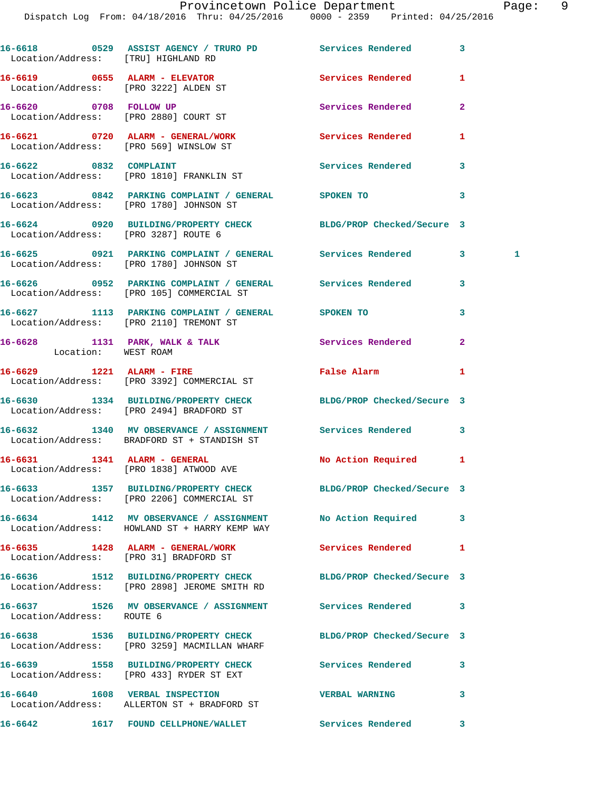|                           | 16-6618 0529 ASSIST AGENCY / TRURO PD Services Rendered<br>Location/Address: [TRU] HIGHLAND RD              |                            | 3              |   |
|---------------------------|-------------------------------------------------------------------------------------------------------------|----------------------------|----------------|---|
|                           | $16-6619$ 0655 ALARM - ELEVATOR<br>Location/Address: [PRO 3222] ALDEN ST                                    | <b>Services Rendered</b>   | 1              |   |
|                           | 16-6620 0708 FOLLOW UP<br>Location/Address: [PRO 2880] COURT ST                                             | Services Rendered          | $\overline{2}$ |   |
|                           | 16-6621 0720 ALARM - GENERAL/WORK<br>Location/Address: [PRO 569] WINSLOW ST                                 | Services Rendered          | 1              |   |
|                           | 16-6622 0832 COMPLAINT<br>Location/Address: [PRO 1810] FRANKLIN ST                                          | Services Rendered          | 3              |   |
|                           | 16-6623 0842 PARKING COMPLAINT / GENERAL SPOKEN TO<br>Location/Address: [PRO 1780] JOHNSON ST               |                            | 3              |   |
|                           | 16-6624 0920 BUILDING/PROPERTY CHECK BLDG/PROP Checked/Secure 3<br>Location/Address: [PRO 3287] ROUTE 6     |                            |                |   |
|                           | 16-6625 0921 PARKING COMPLAINT / GENERAL Services Rendered<br>Location/Address: [PRO 1780] JOHNSON ST       |                            | 3              | 1 |
|                           | 16-6626  0952 PARKING COMPLAINT / GENERAL Services Rendered<br>Location/Address: [PRO 105] COMMERCIAL ST    |                            | 3              |   |
|                           | 16-6627 1113 PARKING COMPLAINT / GENERAL SPOKEN TO<br>Location/Address: [PRO 2110] TREMONT ST               |                            | 3              |   |
| Location: WEST ROAM       | 16-6628 1131 PARK, WALK & TALK 1988 Services Rendered                                                       |                            | $\overline{2}$ |   |
|                           | 16-6629 1221 ALARM - FIRE<br>Location/Address: [PRO 3392] COMMERCIAL ST                                     | False Alarm                | 1              |   |
|                           | 16-6630 1334 BUILDING/PROPERTY CHECK BLDG/PROP Checked/Secure 3<br>Location/Address: [PRO 2494] BRADFORD ST |                            |                |   |
|                           | 16-6632 1340 MV OBSERVANCE / ASSIGNMENT Services Rendered<br>Location/Address: BRADFORD ST + STANDISH ST    |                            | 3              |   |
|                           | 16-6631 1341 ALARM - GENERAL<br>Location/Address: [PRO 1838] ATWOOD AVE                                     | No Action Required 1       |                |   |
|                           | 16-6633 1357 BUILDING/PROPERTY CHECK BLDG/PROP Checked/Secure 3                                             |                            |                |   |
|                           | Location/Address: [PRO 2206] COMMERCIAL ST<br>16-6634 1412 MV OBSERVANCE / ASSIGNMENT No Action Required    |                            | 3              |   |
|                           | Location/Address: HOWLAND ST + HARRY KEMP WAY<br>16-6635 1428 ALARM - GENERAL/WORK                          | Services Rendered          | 1              |   |
|                           | Location/Address: [PRO 31] BRADFORD ST<br>16-6636 1512 BUILDING/PROPERTY CHECK                              | BLDG/PROP Checked/Secure 3 |                |   |
|                           | Location/Address: [PRO 2898] JEROME SMITH RD<br>16-6637 1526 MV OBSERVANCE / ASSIGNMENT Services Rendered   |                            | 3              |   |
| Location/Address: ROUTE 6 | 16-6638 1536 BUILDING/PROPERTY CHECK                                                                        | BLDG/PROP Checked/Secure 3 |                |   |
|                           | Location/Address: [PRO 3259] MACMILLAN WHARF<br>16-6639 1558 BUILDING/PROPERTY CHECK Services Rendered      |                            | 3              |   |
|                           | Location/Address: [PRO 433] RYDER ST EXT<br>16-6640 1608 VERBAL INSPECTION                                  | <b>VERBAL WARNING</b>      | 3              |   |
|                           | Location/Address: ALLERTON ST + BRADFORD ST<br>16-6642 1617 FOUND CELLPHONE/WALLET                          | Services Rendered          | 3              |   |
|                           |                                                                                                             |                            |                |   |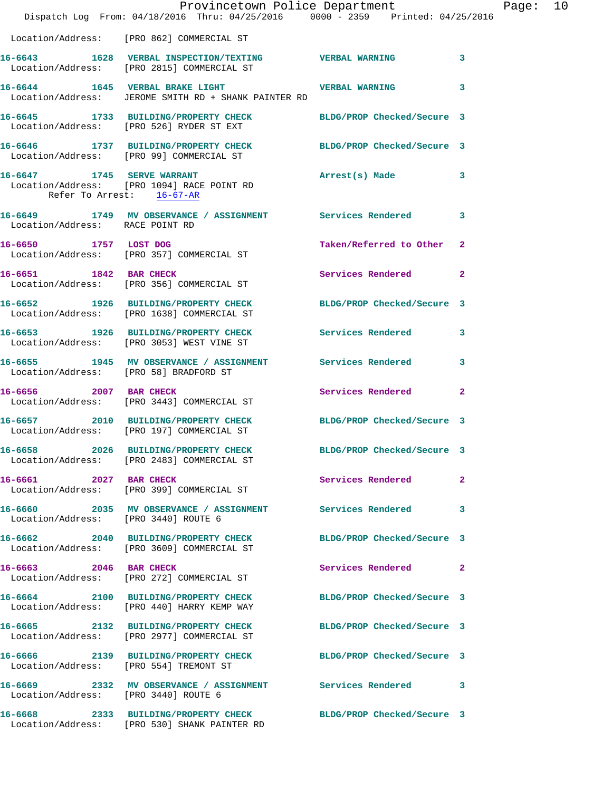|                                        | Dispatch Log From: 04/18/2016 Thru: 04/25/2016 0000 - 2359 Printed: 04/25/2016                                  | Provincetown Police Department |              | Page: 10 |  |
|----------------------------------------|-----------------------------------------------------------------------------------------------------------------|--------------------------------|--------------|----------|--|
|                                        | Location/Address: [PRO 862] COMMERCIAL ST                                                                       |                                |              |          |  |
|                                        | 16-6643 1628 VERBAL INSPECTION/TEXTING VERBAL WARNING<br>Location/Address: [PRO 2815] COMMERCIAL ST             |                                | 3            |          |  |
|                                        | 16-6644 1645 VERBAL BRAKE LIGHT NERBAL WARNING<br>Location/Address: JEROME SMITH RD + SHANK PAINTER RD          |                                | 3            |          |  |
|                                        | 16-6645 1733 BUILDING/PROPERTY CHECK BLDG/PROP Checked/Secure 3<br>Location/Address: [PRO 526] RYDER ST EXT     |                                |              |          |  |
|                                        | 16-6646 1737 BUILDING/PROPERTY CHECK BLDG/PROP Checked/Secure 3<br>Location/Address: [PRO 99] COMMERCIAL ST     |                                |              |          |  |
| Refer To Arrest: 16-67-AR              | 16-6647 1745 SERVE WARRANT<br>Location/Address: [PRO 1094] RACE POINT RD                                        | Arrest(s) Made                 | $\mathbf{3}$ |          |  |
| Location/Address: RACE POINT RD        | 16-6649 1749 MV OBSERVANCE / ASSIGNMENT Services Rendered                                                       |                                | 3            |          |  |
|                                        | 16-6650 1757 LOST DOG<br>Location/Address: [PRO 357] COMMERCIAL ST                                              | Taken/Referred to Other 2      |              |          |  |
|                                        | 16-6651 1842 BAR CHECK<br>Location/Address: [PRO 356] COMMERCIAL ST                                             | Services Rendered              | $\mathbf{2}$ |          |  |
|                                        | 16-6652 1926 BUILDING/PROPERTY CHECK BLDG/PROP Checked/Secure 3<br>Location/Address: [PRO 1638] COMMERCIAL ST   |                                |              |          |  |
|                                        | 16-6653 1926 BUILDING/PROPERTY CHECK Services Rendered 3<br>Location/Address: [PRO 3053] WEST VINE ST           |                                |              |          |  |
|                                        | 16-6655 1945 MV OBSERVANCE / ASSIGNMENT Services Rendered<br>Location/Address: [PRO 58] BRADFORD ST             |                                | 3            |          |  |
| 16-6656 2007 BAR CHECK                 | Location/Address: [PRO 3443] COMMERCIAL ST                                                                      | Services Rendered              | $\mathbf{2}$ |          |  |
|                                        | 16-6657 2010 BUILDING/PROPERTY CHECK BLDG/PROP Checked/Secure 3<br>Location/Address: [PRO 197] COMMERCIAL ST    |                                |              |          |  |
|                                        | 16-6658 2026 BUILDING/PROPERTY CHECK<br>Location/Address: [PRO 2483] COMMERCIAL ST                              | BLDG/PROP Checked/Secure 3     |              |          |  |
| 16-6661 2027 BAR CHECK                 | Location/Address: [PRO 399] COMMERCIAL ST                                                                       | <b>Services Rendered</b>       | $\mathbf{2}$ |          |  |
| Location/Address: [PRO 3440] ROUTE 6   |                                                                                                                 |                                | 3            |          |  |
|                                        | 16-6662 2040 BUILDING/PROPERTY CHECK BLDG/PROP Checked/Secure 3<br>Location/Address: [PRO 3609] COMMERCIAL ST   |                                |              |          |  |
| 16-6663 2046 BAR CHECK                 | Location/Address: [PRO 272] COMMERCIAL ST                                                                       | Services Rendered              | $\mathbf{2}$ |          |  |
|                                        | 16-6664 2100 BUILDING/PROPERTY CHECK<br>Location/Address: [PRO 440] HARRY KEMP WAY                              | BLDG/PROP Checked/Secure 3     |              |          |  |
|                                        | 16-6665 2132 BUILDING/PROPERTY CHECK<br>Location/Address: [PRO 2977] COMMERCIAL ST                              | BLDG/PROP Checked/Secure 3     |              |          |  |
| Location/Address: [PRO 554] TREMONT ST | 16-6666 2139 BUILDING/PROPERTY CHECK BLDG/PROP Checked/Secure 3                                                 |                                |              |          |  |
| Location/Address: [PRO 3440] ROUTE 6   | 16-6669 2332 MV OBSERVANCE / ASSIGNMENT Services Rendered 3                                                     |                                |              |          |  |
|                                        | 16-6668 2333 BUILDING/PROPERTY CHECK BLDG/PROP Checked/Secure 3<br>Location/Address: [PRO 530] SHANK PAINTER RD |                                |              |          |  |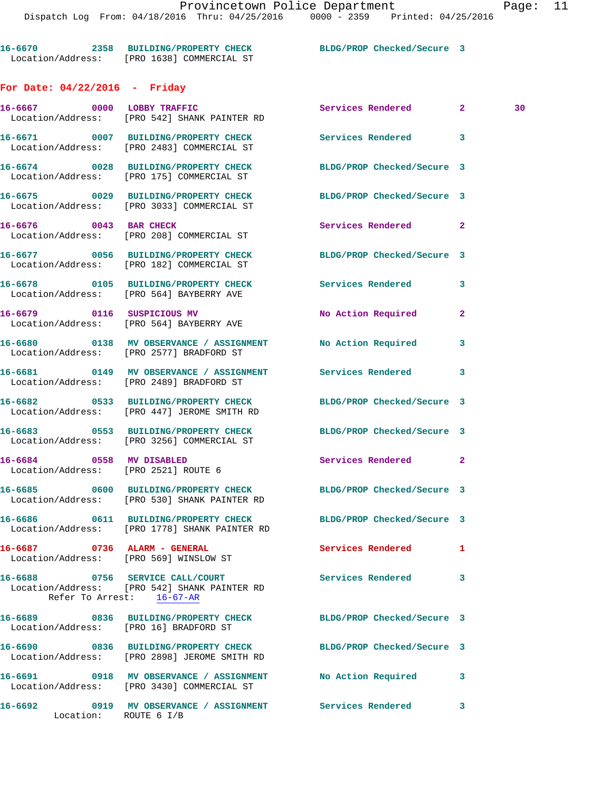**16-6670 2358 BUILDING/PROPERTY CHECK BLDG/PROP Checked/Secure 3**  Location/Address: [PRO 1638] COMMERCIAL ST

## **For Date: 04/22/2016 - Friday**

|                          | 16-6667 0000 LOBBY TRAFFIC<br>Location/Address: [PRO 542] SHANK PAINTER RD                                       | Services Rendered          | $\mathbf{2}^-$<br>30 |  |
|--------------------------|------------------------------------------------------------------------------------------------------------------|----------------------------|----------------------|--|
|                          | 16-6671 0007 BUILDING/PROPERTY CHECK Services Rendered 3<br>Location/Address: [PRO 2483] COMMERCIAL ST           |                            |                      |  |
|                          | 16-6674 0028 BUILDING/PROPERTY CHECK<br>Location/Address: [PRO 175] COMMERCIAL ST                                | BLDG/PROP Checked/Secure 3 |                      |  |
|                          | 16-6675 0029 BUILDING/PROPERTY CHECK<br>Location/Address: [PRO 3033] COMMERCIAL ST                               | BLDG/PROP Checked/Secure 3 |                      |  |
|                          | 16-6676 0043 BAR CHECK<br>Location/Address: [PRO 208] COMMERCIAL ST                                              | Services Rendered 2        |                      |  |
|                          | 16-6677 0056 BUILDING/PROPERTY CHECK<br>Location/Address: [PRO 182] COMMERCIAL ST                                | BLDG/PROP Checked/Secure 3 |                      |  |
|                          | 16-6678 0105 BUILDING/PROPERTY CHECK<br>Location/Address: [PRO 564] BAYBERRY AVE                                 | Services Rendered          | 3                    |  |
|                          | 16-6679 0116 SUSPICIOUS MV<br>Location/Address: [PRO 564] BAYBERRY AVE                                           | No Action Required         | $\overline{2}$       |  |
|                          | 16-6680 0138 MV OBSERVANCE / ASSIGNMENT No Action Required<br>Location/Address: [PRO 2577] BRADFORD ST           |                            | 3                    |  |
|                          | 16-6681  0149 MV OBSERVANCE / ASSIGNMENT Services Rendered<br>Location/Address: [PRO 2489] BRADFORD ST           |                            | 3                    |  |
|                          | 16-6682 0533 BUILDING/PROPERTY CHECK BLDG/PROP Checked/Secure 3<br>Location/Address: [PRO 447] JEROME SMITH RD   |                            |                      |  |
|                          | 16-6683 0553 BUILDING/PROPERTY CHECK<br>Location/Address: [PRO 3256] COMMERCIAL ST                               | BLDG/PROP Checked/Secure 3 |                      |  |
| 16-6684 0558 MV DISABLED | Location/Address: [PRO 2521] ROUTE 6                                                                             | Services Rendered 2        |                      |  |
|                          | 16-6685 0600 BUILDING/PROPERTY CHECK BLDG/PROP Checked/Secure 3<br>Location/Address: [PRO 530] SHANK PAINTER RD  |                            |                      |  |
|                          | 16-6686 0611 BUILDING/PROPERTY CHECK BLDG/PROP Checked/Secure 3<br>Location/Address: [PRO 1778] SHANK PAINTER RD |                            |                      |  |
|                          | 16-6687 0736 ALARM - GENERAL<br>Location/Address: [PRO 569] WINSLOW ST                                           | Services Rendered          | ı                    |  |
|                          | 16-6688 0756 SERVICE CALL/COURT<br>Location/Address: [PRO 542] SHANK PAINTER RD<br>Refer To Arrest: 16-67-AR     | <b>Services Rendered</b>   | 3                    |  |
|                          | 16-6689 0836 BUILDING/PROPERTY CHECK<br>Location/Address: [PRO 16] BRADFORD ST                                   | BLDG/PROP Checked/Secure 3 |                      |  |
|                          | 16-6690 0836 BUILDING/PROPERTY CHECK<br>Location/Address: [PRO 2898] JEROME SMITH RD                             | BLDG/PROP Checked/Secure 3 |                      |  |
|                          | 16-6691 0918 MV OBSERVANCE / ASSIGNMENT<br>Location/Address: [PRO 3430] COMMERCIAL ST                            | No Action Required         | 3                    |  |
| 16-6692                  | 0919 MV OBSERVANCE / ASSIGNMENT Services Rendered<br>Location: ROUTE 6 I/B                                       |                            | 3                    |  |
|                          |                                                                                                                  |                            |                      |  |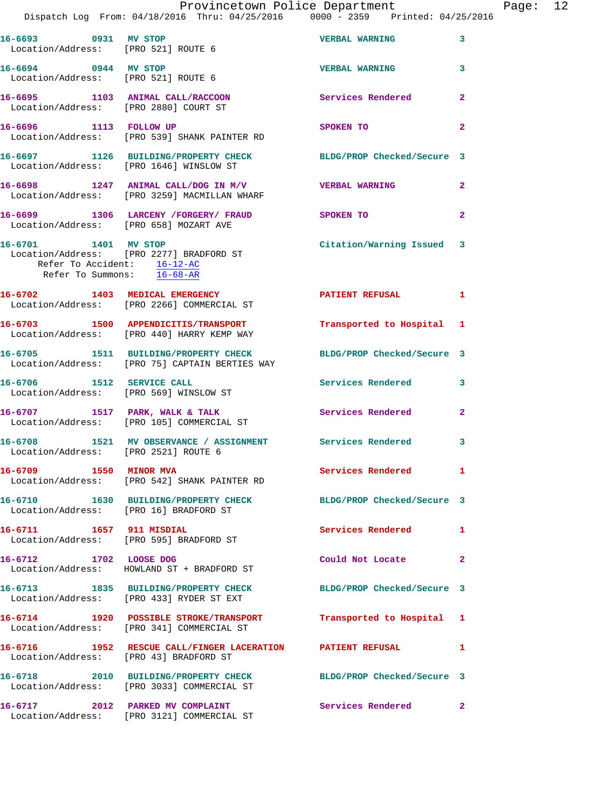|                                                                                   | Dispatch Log From: 04/18/2016 Thru: 04/25/2016 0000 - 2359 Printed: 04/25/2016                                | Provincetown Police Department |                | Page: 12 |  |
|-----------------------------------------------------------------------------------|---------------------------------------------------------------------------------------------------------------|--------------------------------|----------------|----------|--|
| 16-6693 0931 MV STOP<br>Location/Address: [PRO 521] ROUTE 6                       |                                                                                                               | <b>VERBAL WARNING</b>          | 3              |          |  |
| 16-6694 0944 MV STOP<br>Location/Address: [PRO 521] ROUTE 6                       |                                                                                                               | <b>VERBAL WARNING</b>          | 3              |          |  |
|                                                                                   | 16-6695 1103 ANIMAL CALL/RACCOON<br>Location/Address: [PRO 2880] COURT ST                                     | Services Rendered              | $\mathbf{2}$   |          |  |
|                                                                                   | 16-6696 1113 FOLLOW UP<br>Location/Address: [PRO 539] SHANK PAINTER RD                                        | SPOKEN TO                      | $\overline{2}$ |          |  |
|                                                                                   | 16-6697 1126 BUILDING/PROPERTY CHECK BLDG/PROP Checked/Secure 3<br>Location/Address: [PRO 1646] WINSLOW ST    |                                |                |          |  |
|                                                                                   | 16-6698 1247 ANIMAL CALL/DOG IN M/V VERBAL WARNING<br>Location/Address: [PRO 3259] MACMILLAN WHARF            |                                | $\overline{2}$ |          |  |
| Location/Address: [PRO 658] MOZART AVE                                            | 16-6699 1306 LARCENY / FORGERY / FRAUD SPOKEN TO                                                              |                                | $\overline{2}$ |          |  |
| 16-6701 1401 MV STOP<br>Refer To Accident: 16-12-AC<br>Refer To Summons: 16-68-AR | Location/Address: [PRO 2277] BRADFORD ST                                                                      | Citation/Warning Issued 3      |                |          |  |
|                                                                                   | 16-6702 1403 MEDICAL EMERGENCY<br>Location/Address: [PRO 2266] COMMERCIAL ST                                  | PATIENT REFUSAL                | $\mathbf{1}$   |          |  |
|                                                                                   | 16-6703 1500 APPENDICITIS/TRANSPORT<br>Location/Address: [PRO 440] HARRY KEMP WAY                             | Transported to Hospital 1      |                |          |  |
|                                                                                   | 16-6705 1511 BUILDING/PROPERTY CHECK<br>Location/Address: [PRO 75] CAPTAIN BERTIES WAY                        | BLDG/PROP Checked/Secure 3     |                |          |  |
|                                                                                   | 16-6706 1512 SERVICE CALL<br>Location/Address: [PRO 569] WINSLOW ST                                           | Services Rendered 3            |                |          |  |
|                                                                                   | 16-6707 1517 PARK, WALK & TALK<br>Location/Address: [PRO 105] COMMERCIAL ST                                   | Services Rendered              | $\mathbf{2}$   |          |  |
| Location/Address: [PRO 2521] ROUTE 6                                              | 16-6708 1521 MV OBSERVANCE / ASSIGNMENT Services Rendered 3                                                   |                                |                |          |  |
| 16-6709 1550 MINOR MVA                                                            | Location/Address: [PRO 542] SHANK PAINTER RD                                                                  | Services Rendered 1            |                |          |  |
| Location/Address: [PRO 16] BRADFORD ST                                            | 16-6710 1630 BUILDING/PROPERTY CHECK BLDG/PROP Checked/Secure 3                                               |                                |                |          |  |
| 16-6711 1657 911 MISDIAL                                                          | Location/Address: [PRO 595] BRADFORD ST                                                                       | Services Rendered 1            |                |          |  |
|                                                                                   | 16-6712 1702 LOOSE DOG<br>Location/Address: HOWLAND ST + BRADFORD ST                                          | Could Not Locate               | 2              |          |  |
|                                                                                   | 16-6713 1835 BUILDING/PROPERTY CHECK BLDG/PROP Checked/Secure 3<br>Location/Address: [PRO 433] RYDER ST EXT   |                                |                |          |  |
|                                                                                   |                                                                                                               | Transported to Hospital 1      |                |          |  |
| Location/Address: [PRO 43] BRADFORD ST                                            | 16-6716 1952 RESCUE CALL/FINGER LACERATION PATIENT REFUSAL                                                    |                                | 1              |          |  |
|                                                                                   | 16-6718 2010 BUILDING/PROPERTY CHECK BLDG/PROP Checked/Secure 3<br>Location/Address: [PRO 3033] COMMERCIAL ST |                                |                |          |  |
|                                                                                   | 16-6717 2012 PARKED MV COMPLAINT<br>Location/Address: [PRO 3121] COMMERCIAL ST                                | Services Rendered              | 2              |          |  |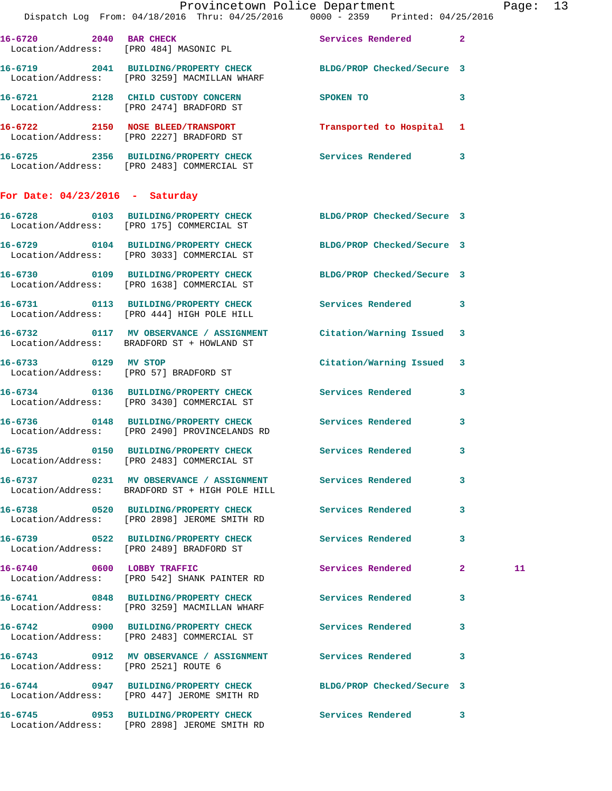|                                      | Provincetown Police Department<br>Dispatch Log From: 04/18/2016 Thru: 04/25/2016 0000 - 2359 Printed: 04/25/2016  |                           |              | Page: 13 |  |
|--------------------------------------|-------------------------------------------------------------------------------------------------------------------|---------------------------|--------------|----------|--|
|                                      |                                                                                                                   |                           |              |          |  |
|                                      | 16-6720 2040 BAR CHECK<br>Location/Address: [PRO 484] MASONIC PL                                                  | Services Rendered 2       |              |          |  |
|                                      | 16-6719  2041  BUILDING/PROPERTY CHECK BLDG/PROP Checked/Secure 3<br>Location/Address: [PRO 3259] MACMILLAN WHARF |                           |              |          |  |
|                                      | 16-6721 2128 CHILD CUSTODY CONCERN<br>Location/Address: [PRO 2474] BRADFORD ST                                    | SPOKEN TO                 | $\mathbf{3}$ |          |  |
|                                      | 16-6722 2150 NOSE BLEED/TRANSPORT<br>Location/Address: [PRO 2227] BRADFORD ST                                     | Transported to Hospital 1 |              |          |  |
|                                      | 16-6725 2356 BUILDING/PROPERTY CHECK Services Rendered 3<br>Location/Address: [PRO 2483] COMMERCIAL ST            |                           |              |          |  |
| For Date: $04/23/2016$ - Saturday    |                                                                                                                   |                           |              |          |  |
|                                      | 16-6728 0103 BUILDING/PROPERTY CHECK BLDG/PROP Checked/Secure 3<br>Location/Address: [PRO 175] COMMERCIAL ST      |                           |              |          |  |
|                                      | 16-6729 0104 BUILDING/PROPERTY CHECK BLDG/PROP Checked/Secure 3<br>Location/Address: [PRO 3033] COMMERCIAL ST     |                           |              |          |  |
|                                      | 16-6730 0109 BUILDING/PROPERTY CHECK BLDG/PROP Checked/Secure 3<br>Location/Address: [PRO 1638] COMMERCIAL ST     |                           |              |          |  |
|                                      | 16-6731 0113 BUILDING/PROPERTY CHECK Services Rendered 3<br>Location/Address: [PRO 444] HIGH POLE HILL            |                           |              |          |  |
|                                      | 16-6732 0117 MV OBSERVANCE / ASSIGNMENT Citation/Warning Issued 3<br>Location/Address: BRADFORD ST + HOWLAND ST   |                           |              |          |  |
|                                      | 16-6733 0129 MV STOP<br>Location/Address: [PRO 57] BRADFORD ST                                                    | Citation/Warning Issued 3 |              |          |  |
|                                      | 16-6734 0136 BUILDING/PROPERTY CHECK Services Rendered 3<br>Location/Address: [PRO 3430] COMMERCIAL ST            |                           |              |          |  |
|                                      | 16-6736 0148 BUILDING/PROPERTY CHECK Services Rendered 3<br>Location/Address: [PRO 2490] PROVINCELANDS RD         |                           |              |          |  |
|                                      | 16-6735 0150 BUILDING/PROPERTY CHECK Services Rendered 3<br>Location/Address: [PRO 2483] COMMERCIAL ST            |                           |              |          |  |
|                                      | 16-6737 0231 MV OBSERVANCE / ASSIGNMENT Services Rendered<br>Location/Address: BRADFORD ST + HIGH POLE HILL       |                           | $\mathbf{3}$ |          |  |
|                                      | 16-6738 0520 BUILDING/PROPERTY CHECK<br>Location/Address: [PRO 2898] JEROME SMITH RD                              | Services Rendered         | $\mathbf{3}$ |          |  |
|                                      | 16-6739 0522 BUILDING/PROPERTY CHECK Services Rendered<br>Location/Address: [PRO 2489] BRADFORD ST                |                           | $\mathbf{3}$ |          |  |
|                                      | 16-6740 0600 LOBBY TRAFFIC<br>Location/Address: [PRO 542] SHANK PAINTER RD                                        | Services Rendered 2       |              | 11       |  |
|                                      | 16-6741 0848 BUILDING/PROPERTY CHECK Services Rendered 3<br>Location/Address: [PRO 3259] MACMILLAN WHARF          |                           |              |          |  |
|                                      | 16-6742 0900 BUILDING/PROPERTY CHECK Services Rendered 3<br>Location/Address: [PRO 2483] COMMERCIAL ST            |                           |              |          |  |
| Location/Address: [PRO 2521] ROUTE 6 | 16-6743 0912 MV OBSERVANCE / ASSIGNMENT Services Rendered                                                         |                           | 3            |          |  |
|                                      | 16-6744 0947 BUILDING/PROPERTY CHECK BLDG/PROP Checked/Secure 3<br>Location/Address: [PRO 447] JEROME SMITH RD    |                           |              |          |  |
|                                      | 16-6745 0953 BUILDING/PROPERTY CHECK Services Rendered 3<br>Location/Address: [PRO 2898] JEROME SMITH RD          |                           |              |          |  |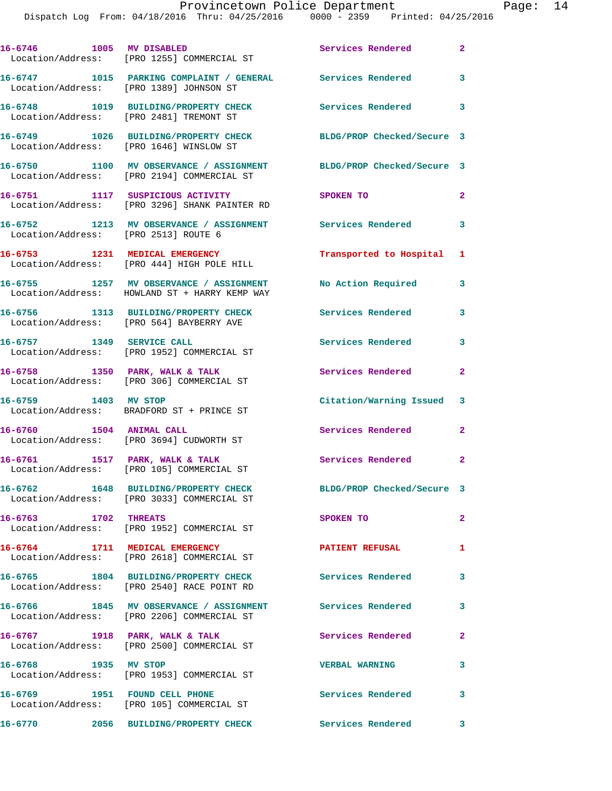|                                      | 16-6746 1005 MV DISABLED<br>Location/Address: [PRO 1255] COMMERCIAL ST                                           | Services Rendered                    | $\mathbf{2}$               |
|--------------------------------------|------------------------------------------------------------------------------------------------------------------|--------------------------------------|----------------------------|
|                                      | 16-6747 1015 PARKING COMPLAINT / GENERAL Services Rendered<br>Location/Address: [PRO 1389] JOHNSON ST            |                                      | $\mathbf{3}$               |
|                                      | 16-6748 1019 BUILDING/PROPERTY CHECK<br>Location/Address: [PRO 2481] TREMONT ST                                  | Services Rendered 3                  |                            |
|                                      | 16-6749 1026 BUILDING/PROPERTY CHECK<br>Location/Address: [PRO 1646] WINSLOW ST                                  | BLDG/PROP Checked/Secure 3           |                            |
|                                      | 16-6750 1100 MV OBSERVANCE / ASSIGNMENT BLDG/PROP Checked/Secure 3<br>Location/Address: [PRO 2194] COMMERCIAL ST |                                      |                            |
|                                      | 16-6751 1117 SUSPICIOUS ACTIVITY<br>Location/Address: [PRO 3296] SHANK PAINTER RD                                | SPOKEN TO                            | $\mathbf{2}$               |
| Location/Address: [PRO 2513] ROUTE 6 | 16-6752 1213 MV OBSERVANCE / ASSIGNMENT Services Rendered 3                                                      |                                      |                            |
|                                      | 16-6753 1231 MEDICAL EMERGENCY<br>Location/Address: [PRO 444] HIGH POLE HILL                                     | Transported to Hospital              | $\mathbf{1}$               |
|                                      | 16-6755 1257 MV OBSERVANCE / ASSIGNMENT<br>Location/Address: HOWLAND ST + HARRY KEMP WAY                         | No Action Required                   | 3                          |
|                                      | 16-6756 1313 BUILDING/PROPERTY CHECK<br>Location/Address: [PRO 564] BAYBERRY AVE                                 | <b>Services Rendered</b>             | 3                          |
| 16-6757 1349 SERVICE CALL            | Location/Address: [PRO 1952] COMMERCIAL ST                                                                       | Services Rendered                    | 3                          |
|                                      | 16-6758 1350 PARK, WALK & TALK<br>Location/Address: [PRO 306] COMMERCIAL ST                                      | Services Rendered                    | $\overline{2}$             |
| 16-6759 1403 MV STOP                 | Location/Address: BRADFORD ST + PRINCE ST                                                                        | Citation/Warning Issued 3            |                            |
| 16-6760 1504 ANIMAL CALL             | Location/Address: [PRO 3694] CUDWORTH ST                                                                         | Services Rendered                    | $\overline{2}$             |
|                                      | 16-6761 1517 PARK, WALK & TALK<br>Location/Address: [PRO 105] COMMERCIAL ST                                      | <b>Services Rendered</b>             | $\overline{\mathbf{2}}$    |
|                                      | 16-6762 1648 BUILDING/PROPERTY CHECK<br>Location/Address: [PRO 3033] COMMERCIAL ST                               | BLDG/PROP Checked/Secure 3           |                            |
| 16-6763 1702 THREATS                 | Location/Address: [PRO 1952] COMMERCIAL ST                                                                       | SPOKEN TO                            | $\mathbf{2}$               |
|                                      | 16-6764 1711 MEDICAL EMERGENCY<br>Location/Address: [PRO 2618] COMMERCIAL ST                                     | <b>PATIENT REFUSAL</b>               | $\mathbf{1}$               |
|                                      | 16-6765 1804 BUILDING/PROPERTY CHECK Services Rendered 3<br>Location/Address: [PRO 2540] RACE POINT RD           |                                      |                            |
|                                      |                                                                                                                  | Services Rendered                    | $\mathbf{3}$               |
|                                      | 16-6767 1918 PARK, WALK & TALK<br>Location/Address: [PRO 2500] COMMERCIAL ST                                     | Services Rendered                    | $\mathbf{2}$               |
| 16-6768 1935 MV STOP                 | Location/Address: [PRO 1953] COMMERCIAL ST                                                                       | <b>VERBAL WARNING</b>                | 3                          |
|                                      | 16-6769 1951 FOUND CELL PHONE<br>Location/Address: [PRO 105] COMMERCIAL ST                                       | Services Rendered                    | $\overline{\phantom{a}}$ 3 |
| 16-6770                              | 2056 BUILDING/PROPERTY CHECK                                                                                     | <b>Services Rendered</b><br>$\sim$ 3 |                            |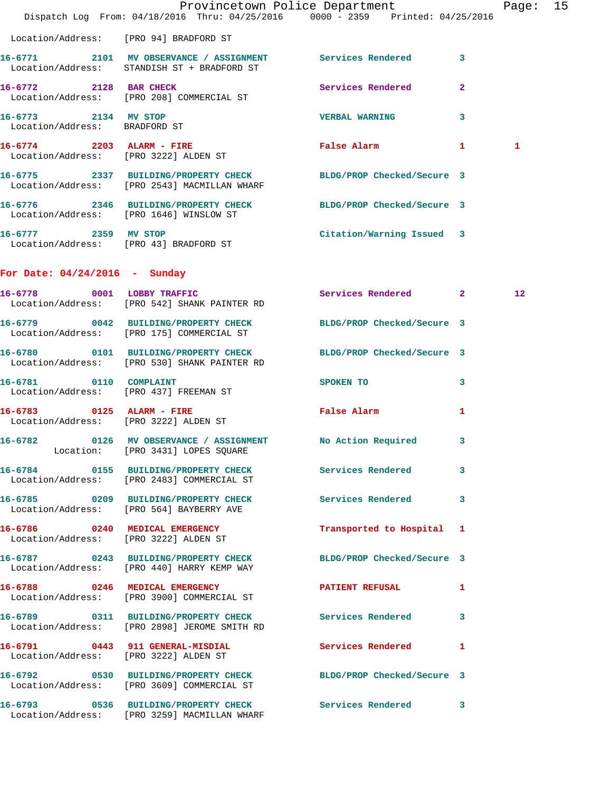|                                                                    | Dispatch Log From: 04/18/2016 Thru: 04/25/2016 0000 - 2359 Printed: 04/25/2016                                  | Provincetown Police Department              |              | Page: 15 |  |
|--------------------------------------------------------------------|-----------------------------------------------------------------------------------------------------------------|---------------------------------------------|--------------|----------|--|
|                                                                    | Location/Address: [PRO 94] BRADFORD ST                                                                          |                                             |              |          |  |
|                                                                    | 16-6771 2101 MV OBSERVANCE / ASSIGNMENT Services Rendered 3<br>Location/Address: STANDISH ST + BRADFORD ST      |                                             |              |          |  |
|                                                                    | 16-6772 2128 BAR CHECK<br>Location/Address: [PRO 208] COMMERCIAL ST                                             | Services Rendered                           | $\mathbf{2}$ |          |  |
| 16-6773 2134 MV STOP<br>Location/Address: BRADFORD ST              |                                                                                                                 | VERBAL WARNING 3                            |              |          |  |
| 16-6774 2203 ALARM - FIRE<br>Location/Address: [PRO 3222] ALDEN ST |                                                                                                                 | False Alarm 1                               |              | 1        |  |
|                                                                    | 16-6775 2337 BUILDING/PROPERTY CHECK BLDG/PROP Checked/Secure 3<br>Location/Address: [PRO 2543] MACMILLAN WHARF |                                             |              |          |  |
|                                                                    | 16-6776 2346 BUILDING/PROPERTY CHECK BLDG/PROP Checked/Secure 3<br>Location/Address: [PRO 1646] WINSLOW ST      |                                             |              |          |  |
| 16-6777 2359 MV STOP                                               | Location/Address: [PRO 43] BRADFORD ST                                                                          | Citation/Warning Issued 3                   |              |          |  |
| For Date: $04/24/2016$ - Sunday                                    |                                                                                                                 |                                             |              |          |  |
|                                                                    | 16-6778 0001 LOBBY TRAFFIC<br>Location/Address: [PRO 542] SHANK PAINTER RD                                      | Services Rendered 2                         |              | 12       |  |
|                                                                    | 16-6779 0042 BUILDING/PROPERTY CHECK BLDG/PROP Checked/Secure 3<br>Location/Address: [PRO 175] COMMERCIAL ST    |                                             |              |          |  |
|                                                                    | 16-6780 0101 BUILDING/PROPERTY CHECK<br>Location/Address: [PRO 530] SHANK PAINTER RD                            | BLDG/PROP Checked/Secure 3                  |              |          |  |
|                                                                    | 16-6781 0110 COMPLAINT<br>Location/Address: [PRO 437] FREEMAN ST                                                | SPOKEN TO                                   | $\mathbf{3}$ |          |  |
| Location/Address: [PRO 3222] ALDEN ST                              | 16-6783 0125 ALARM - FIRE                                                                                       | False Alarm <b>Exercise Service Service</b> | 1            |          |  |
|                                                                    | 16-6782 		 0126 MV OBSERVANCE / ASSIGNMENT 		 No Action Required 		 3<br>Location: [PRO 3431] LOPES SQUARE      |                                             |              |          |  |
|                                                                    | 16-6784 0155 BUILDING/PROPERTY CHECK Services Rendered 3<br>Location/Address: [PRO 2483] COMMERCIAL ST          |                                             |              |          |  |
|                                                                    | 16-6785 0209 BUILDING/PROPERTY CHECK Services Rendered 3<br>Location/Address: [PRO 564] BAYBERRY AVE            |                                             |              |          |  |
|                                                                    | 16-6786 0240 MEDICAL EMERGENCY<br>Location/Address: [PRO 3222] ALDEN ST                                         | Transported to Hospital 1                   |              |          |  |
|                                                                    | 16-6787 0243 BUILDING/PROPERTY CHECK BLDG/PROP Checked/Secure 3<br>Location/Address: [PRO 440] HARRY KEMP WAY   |                                             |              |          |  |
|                                                                    | 16-6788 0246 MEDICAL EMERGENCY<br>Location/Address: [PRO 3900] COMMERCIAL ST                                    | PATIENT REFUSAL                             | 1            |          |  |
|                                                                    | 16-6789 0311 BUILDING/PROPERTY CHECK Services Rendered 3<br>Location/Address: [PRO 2898] JEROME SMITH RD        |                                             |              |          |  |
|                                                                    | 16-6791 0443 911 GENERAL-MISDIAL<br>Location/Address: [PRO 3222] ALDEN ST                                       | Services Rendered 1                         |              |          |  |
|                                                                    | 16-6792 0530 BUILDING/PROPERTY CHECK BLDG/PROP Checked/Secure 3<br>Location/Address: [PRO 3609] COMMERCIAL ST   |                                             |              |          |  |
|                                                                    | 16-6793 0536 BUILDING/PROPERTY CHECK Services Rendered 3<br>Location/Address: [PRO 3259] MACMILLAN WHARF        |                                             |              |          |  |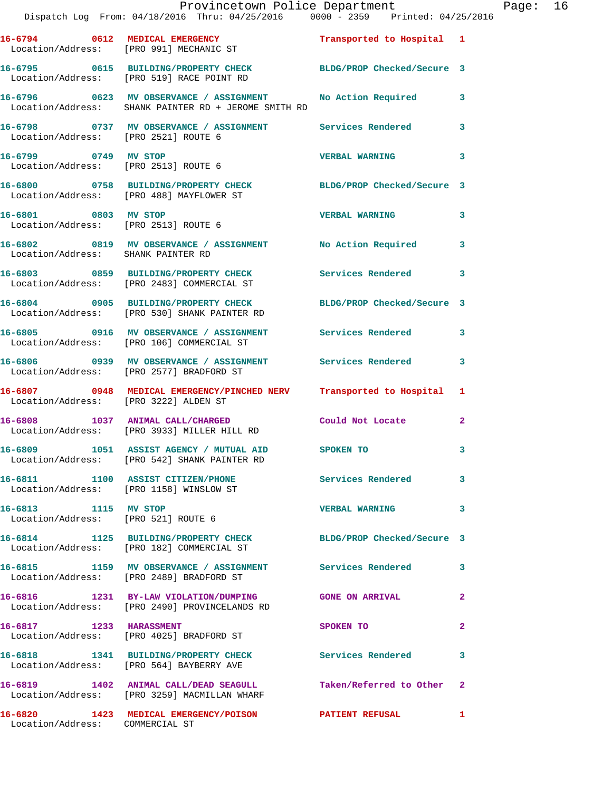|                                       | Provincetown Police Department The Rage: 16<br>Dispatch Log From: 04/18/2016 Thru: 04/25/2016 0000 - 2359 Printed: 04/25/2016 |                            |                |  |
|---------------------------------------|-------------------------------------------------------------------------------------------------------------------------------|----------------------------|----------------|--|
|                                       | 16-6794 0612 MEDICAL EMERGENCY Transported to Hospital 1<br>Location/Address: [PRO 991] MECHANIC ST                           |                            |                |  |
|                                       | 16-6795 0615 BUILDING/PROPERTY CHECK BLDG/PROP Checked/Secure 3<br>Location/Address: [PRO 519] RACE POINT RD                  |                            |                |  |
|                                       | 16-6796 0623 MV OBSERVANCE / ASSIGNMENT No Action Required 3<br>Location/Address: SHANK PAINTER RD + JEROME SMITH RD          |                            |                |  |
| Location/Address: [PRO 2521] ROUTE 6  | 16-6798 0737 MV OBSERVANCE / ASSIGNMENT Services Rendered 3                                                                   |                            |                |  |
|                                       | 16-6799 0749 MV STOP<br>Location/Address: [PRO 2513] ROUTE 6                                                                  | <b>VERBAL WARNING</b>      | 3              |  |
|                                       | 16-6800 0758 BUILDING/PROPERTY CHECK BLDG/PROP Checked/Secure 3<br>Location/Address: [PRO 488] MAYFLOWER ST                   |                            |                |  |
|                                       | 16-6801 0803 MV STOP<br>Location/Address: [PRO 2513] ROUTE 6                                                                  | <b>VERBAL WARNING</b>      | 3              |  |
| Location/Address: SHANK PAINTER RD    | 16-6802 0819 MV OBSERVANCE / ASSIGNMENT No Action Required 3                                                                  |                            |                |  |
|                                       | 16-6803 0859 BUILDING/PROPERTY CHECK Services Rendered<br>Location/Address: [PRO 2483] COMMERCIAL ST                          |                            | 3              |  |
|                                       | 16-6804 0905 BUILDING/PROPERTY CHECK BLDG/PROP Checked/Secure 3<br>Location/Address: [PRO 530] SHANK PAINTER RD               |                            |                |  |
|                                       | 16-6805 0916 MV OBSERVANCE / ASSIGNMENT Services Rendered 3<br>Location/Address: [PRO 106] COMMERCIAL ST                      |                            |                |  |
|                                       | 16-6806 6939 MV OBSERVANCE / ASSIGNMENT Services Rendered<br>Location/Address: [PRO 2577] BRADFORD ST                         |                            | 3              |  |
| Location/Address: [PRO 3222] ALDEN ST | 16-6807 0948 MEDICAL EMERGENCY/PINCHED NERV Transported to Hospital 1                                                         |                            |                |  |
|                                       | 16-6808 1037 ANIMAL CALL/CHARGED Could Not Locate<br>Location/Address: [PRO 3933] MILLER HILL RD                              |                            | $\overline{2}$ |  |
|                                       | 16-6809 1051 ASSIST AGENCY / MUTUAL AID<br>Location/Address: [PRO 542] SHANK PAINTER RD                                       | SPOKEN TO                  | 3              |  |
|                                       | 16-6811 1100 ASSIST CITIZEN/PHONE<br>Location/Address: [PRO 1158] WINSLOW ST                                                  | <b>Services Rendered</b> 3 |                |  |
|                                       | 16-6813 1115 MV STOP<br>Location/Address: [PRO 521] ROUTE 6                                                                   | <b>VERBAL WARNING</b>      | 3              |  |
|                                       | 16-6814 1125 BUILDING/PROPERTY CHECK BLDG/PROP Checked/Secure 3<br>Location/Address: [PRO 182] COMMERCIAL ST                  |                            |                |  |
|                                       | 16-6815 1159 MV OBSERVANCE / ASSIGNMENT Services Rendered<br>Location/Address: [PRO 2489] BRADFORD ST                         |                            | 3              |  |
|                                       | 16-6816 1231 BY-LAW VIOLATION/DUMPING GONE ON ARRIVAL<br>Location/Address: [PRO 2490] PROVINCELANDS RD                        |                            | $\mathbf{2}$   |  |
|                                       | 16-6817 1233 HARASSMENT<br>Location/Address: [PRO 4025] BRADFORD ST                                                           | SPOKEN TO                  | $\mathbf{2}$   |  |
|                                       | 16-6818 1341 BUILDING/PROPERTY CHECK Services Rendered<br>Location/Address: [PRO 564] BAYBERRY AVE                            |                            | 3              |  |
|                                       | 16-6819 1402 ANIMAL CALL/DEAD SEAGULL Taken/Referred to Other 2<br>Location/Address: [PRO 3259] MACMILLAN WHARF               |                            |                |  |
| Location/Address: COMMERCIAL ST       | 16-6820 1423 MEDICAL EMERGENCY/POISON PATIENT REFUSAL                                                                         |                            | 1              |  |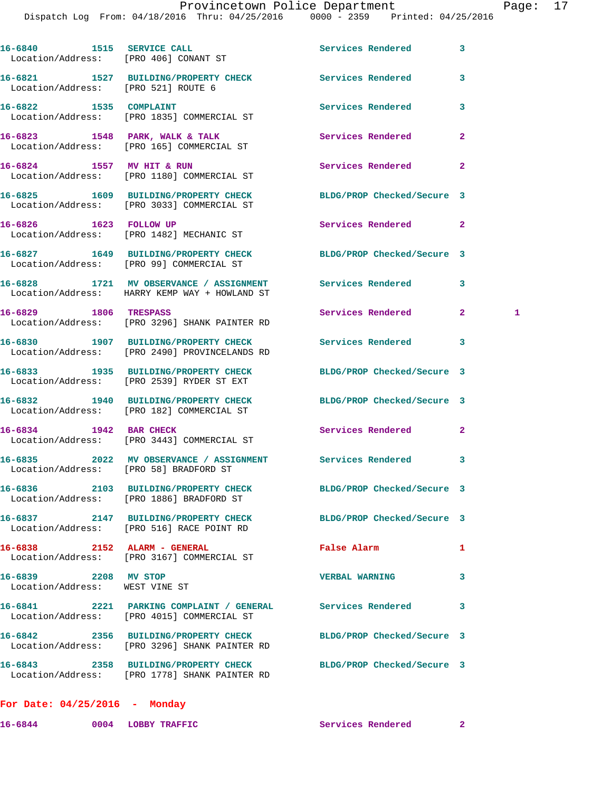| 16-6840 1515 SERVICE CALL             | Services Rendered                                                                                                                                                                                                                                                                                                                                                                                                                                                                                                                                                                                                                                                                                                                                                                                                                                                                                                                                                                                                                                                                                                                                                                                                                                                                                                                                                                                                                                                                                                                              | 3                                                                                                                                                                                                                                                                       |
|---------------------------------------|------------------------------------------------------------------------------------------------------------------------------------------------------------------------------------------------------------------------------------------------------------------------------------------------------------------------------------------------------------------------------------------------------------------------------------------------------------------------------------------------------------------------------------------------------------------------------------------------------------------------------------------------------------------------------------------------------------------------------------------------------------------------------------------------------------------------------------------------------------------------------------------------------------------------------------------------------------------------------------------------------------------------------------------------------------------------------------------------------------------------------------------------------------------------------------------------------------------------------------------------------------------------------------------------------------------------------------------------------------------------------------------------------------------------------------------------------------------------------------------------------------------------------------------------|-------------------------------------------------------------------------------------------------------------------------------------------------------------------------------------------------------------------------------------------------------------------------|
| Location/Address: [PRO 406] CONANT ST |                                                                                                                                                                                                                                                                                                                                                                                                                                                                                                                                                                                                                                                                                                                                                                                                                                                                                                                                                                                                                                                                                                                                                                                                                                                                                                                                                                                                                                                                                                                                                |                                                                                                                                                                                                                                                                         |
|                                       |                                                                                                                                                                                                                                                                                                                                                                                                                                                                                                                                                                                                                                                                                                                                                                                                                                                                                                                                                                                                                                                                                                                                                                                                                                                                                                                                                                                                                                                                                                                                                | 3                                                                                                                                                                                                                                                                       |
|                                       | Services Rendered                                                                                                                                                                                                                                                                                                                                                                                                                                                                                                                                                                                                                                                                                                                                                                                                                                                                                                                                                                                                                                                                                                                                                                                                                                                                                                                                                                                                                                                                                                                              | 3                                                                                                                                                                                                                                                                       |
|                                       | Services Rendered                                                                                                                                                                                                                                                                                                                                                                                                                                                                                                                                                                                                                                                                                                                                                                                                                                                                                                                                                                                                                                                                                                                                                                                                                                                                                                                                                                                                                                                                                                                              | $\overline{2}$                                                                                                                                                                                                                                                          |
|                                       | Services Rendered                                                                                                                                                                                                                                                                                                                                                                                                                                                                                                                                                                                                                                                                                                                                                                                                                                                                                                                                                                                                                                                                                                                                                                                                                                                                                                                                                                                                                                                                                                                              | $\overline{a}$                                                                                                                                                                                                                                                          |
|                                       | BLDG/PROP Checked/Secure 3                                                                                                                                                                                                                                                                                                                                                                                                                                                                                                                                                                                                                                                                                                                                                                                                                                                                                                                                                                                                                                                                                                                                                                                                                                                                                                                                                                                                                                                                                                                     |                                                                                                                                                                                                                                                                         |
|                                       | Services Rendered 2                                                                                                                                                                                                                                                                                                                                                                                                                                                                                                                                                                                                                                                                                                                                                                                                                                                                                                                                                                                                                                                                                                                                                                                                                                                                                                                                                                                                                                                                                                                            |                                                                                                                                                                                                                                                                         |
|                                       | BLDG/PROP Checked/Secure 3                                                                                                                                                                                                                                                                                                                                                                                                                                                                                                                                                                                                                                                                                                                                                                                                                                                                                                                                                                                                                                                                                                                                                                                                                                                                                                                                                                                                                                                                                                                     |                                                                                                                                                                                                                                                                         |
|                                       | <b>Services Rendered</b>                                                                                                                                                                                                                                                                                                                                                                                                                                                                                                                                                                                                                                                                                                                                                                                                                                                                                                                                                                                                                                                                                                                                                                                                                                                                                                                                                                                                                                                                                                                       | 3                                                                                                                                                                                                                                                                       |
|                                       | Services Rendered                                                                                                                                                                                                                                                                                                                                                                                                                                                                                                                                                                                                                                                                                                                                                                                                                                                                                                                                                                                                                                                                                                                                                                                                                                                                                                                                                                                                                                                                                                                              | $\mathbf{2}$<br>1                                                                                                                                                                                                                                                       |
|                                       | Services Rendered                                                                                                                                                                                                                                                                                                                                                                                                                                                                                                                                                                                                                                                                                                                                                                                                                                                                                                                                                                                                                                                                                                                                                                                                                                                                                                                                                                                                                                                                                                                              | 3                                                                                                                                                                                                                                                                       |
|                                       | BLDG/PROP Checked/Secure 3                                                                                                                                                                                                                                                                                                                                                                                                                                                                                                                                                                                                                                                                                                                                                                                                                                                                                                                                                                                                                                                                                                                                                                                                                                                                                                                                                                                                                                                                                                                     |                                                                                                                                                                                                                                                                         |
|                                       | BLDG/PROP Checked/Secure 3                                                                                                                                                                                                                                                                                                                                                                                                                                                                                                                                                                                                                                                                                                                                                                                                                                                                                                                                                                                                                                                                                                                                                                                                                                                                                                                                                                                                                                                                                                                     |                                                                                                                                                                                                                                                                         |
|                                       | Services Rendered                                                                                                                                                                                                                                                                                                                                                                                                                                                                                                                                                                                                                                                                                                                                                                                                                                                                                                                                                                                                                                                                                                                                                                                                                                                                                                                                                                                                                                                                                                                              | $\overline{2}$                                                                                                                                                                                                                                                          |
|                                       |                                                                                                                                                                                                                                                                                                                                                                                                                                                                                                                                                                                                                                                                                                                                                                                                                                                                                                                                                                                                                                                                                                                                                                                                                                                                                                                                                                                                                                                                                                                                                | 3                                                                                                                                                                                                                                                                       |
|                                       | BLDG/PROP Checked/Secure 3                                                                                                                                                                                                                                                                                                                                                                                                                                                                                                                                                                                                                                                                                                                                                                                                                                                                                                                                                                                                                                                                                                                                                                                                                                                                                                                                                                                                                                                                                                                     |                                                                                                                                                                                                                                                                         |
|                                       | BLDG/PROP Checked/Secure 3                                                                                                                                                                                                                                                                                                                                                                                                                                                                                                                                                                                                                                                                                                                                                                                                                                                                                                                                                                                                                                                                                                                                                                                                                                                                                                                                                                                                                                                                                                                     |                                                                                                                                                                                                                                                                         |
|                                       | False Alarm                                                                                                                                                                                                                                                                                                                                                                                                                                                                                                                                                                                                                                                                                                                                                                                                                                                                                                                                                                                                                                                                                                                                                                                                                                                                                                                                                                                                                                                                                                                                    | 1                                                                                                                                                                                                                                                                       |
|                                       | <b>VERBAL WARNING</b>                                                                                                                                                                                                                                                                                                                                                                                                                                                                                                                                                                                                                                                                                                                                                                                                                                                                                                                                                                                                                                                                                                                                                                                                                                                                                                                                                                                                                                                                                                                          | 3                                                                                                                                                                                                                                                                       |
|                                       |                                                                                                                                                                                                                                                                                                                                                                                                                                                                                                                                                                                                                                                                                                                                                                                                                                                                                                                                                                                                                                                                                                                                                                                                                                                                                                                                                                                                                                                                                                                                                | 3                                                                                                                                                                                                                                                                       |
|                                       | BLDG/PROP Checked/Secure 3                                                                                                                                                                                                                                                                                                                                                                                                                                                                                                                                                                                                                                                                                                                                                                                                                                                                                                                                                                                                                                                                                                                                                                                                                                                                                                                                                                                                                                                                                                                     |                                                                                                                                                                                                                                                                         |
|                                       | BLDG/PROP Checked/Secure 3                                                                                                                                                                                                                                                                                                                                                                                                                                                                                                                                                                                                                                                                                                                                                                                                                                                                                                                                                                                                                                                                                                                                                                                                                                                                                                                                                                                                                                                                                                                     |                                                                                                                                                                                                                                                                         |
|                                       | 16-6821 1527 BUILDING/PROPERTY CHECK<br>Location/Address: [PRO 521] ROUTE 6<br>16-6822 1535 COMPLAINT<br>Location/Address: [PRO 1835] COMMERCIAL ST<br>16-6823 1548 PARK, WALK & TALK<br>Location/Address: [PRO 165] COMMERCIAL ST<br>16-6824 1557 MV HIT & RUN<br>Location/Address: [PRO 1180] COMMERCIAL ST<br>16-6825 1609 BUILDING/PROPERTY CHECK<br>Location/Address: [PRO 3033] COMMERCIAL ST<br>16-6826 1623 FOLLOW UP<br>Location/Address: [PRO 1482] MECHANIC ST<br>16-6827 1649 BUILDING/PROPERTY CHECK<br>Location/Address: [PRO 99] COMMERCIAL ST<br>Location/Address: HARRY KEMP WAY + HOWLAND ST<br>16-6829 1806 TRESPASS<br>Location/Address: [PRO 3296] SHANK PAINTER RD<br>16-6830 1907 BUILDING/PROPERTY CHECK<br>Location/Address: [PRO 2490] PROVINCELANDS RD<br>16-6833 1935 BUILDING/PROPERTY CHECK<br>Location/Address: [PRO 2539] RYDER ST EXT<br>16-6832 1940 BUILDING/PROPERTY CHECK<br>Location/Address: [PRO 182] COMMERCIAL ST<br>16-6834 1942 BAR CHECK<br>Location/Address: [PRO 3443] COMMERCIAL ST<br>Location/Address: [PRO 58] BRADFORD ST<br>Location/Address: [PRO 1886] BRADFORD ST<br>Location/Address: [PRO 516] RACE POINT RD<br>16-6838 2152 ALARM - GENERAL<br>Location/Address: [PRO 3167] COMMERCIAL ST<br>16-6839 2208 MV STOP<br>Location/Address: WEST VINE ST<br>Location/Address: [PRO 4015] COMMERCIAL ST<br>16-6842 2356 BUILDING/PROPERTY CHECK<br>Location/Address: [PRO 3296] SHANK PAINTER RD<br>16-6843 2358 BUILDING/PROPERTY CHECK<br>Location/Address: [PRO 1778] SHANK PAINTER RD | Services Rendered<br>16-6828 1721 MV OBSERVANCE / ASSIGNMENT<br>16-6835 2022 MV OBSERVANCE / ASSIGNMENT Services Rendered<br>16-6836 2103 BUILDING/PROPERTY CHECK<br>16-6837 2147 BUILDING/PROPERTY CHECK<br>16-6841 2221 PARKING COMPLAINT / GENERAL Services Rendered |

**16-6844 0004 LOBBY TRAFFIC Services Rendered 2**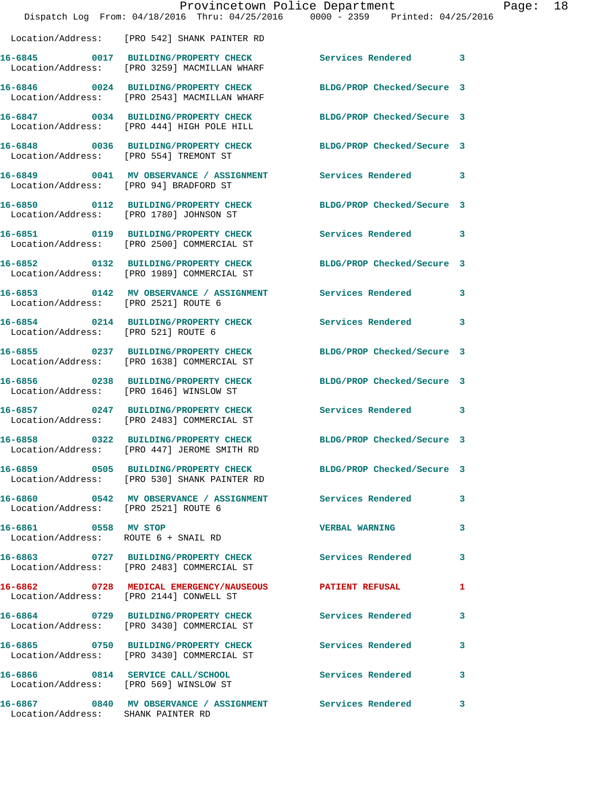|                                                              | Provincetown Police Department<br>Dispatch Log From: 04/18/2016 Thru: 04/25/2016 0000 - 2359 Printed: 04/25/2016 |                            |   |
|--------------------------------------------------------------|------------------------------------------------------------------------------------------------------------------|----------------------------|---|
|                                                              | Location/Address: [PRO 542] SHANK PAINTER RD                                                                     |                            |   |
|                                                              | 16-6845 0017 BUILDING/PROPERTY CHECK<br>Location/Address: [PRO 3259] MACMILLAN WHARF                             | Services Rendered          | 3 |
|                                                              | 16-6846 0024 BUILDING/PROPERTY CHECK<br>Location/Address: [PRO 2543] MACMILLAN WHARF                             | BLDG/PROP Checked/Secure 3 |   |
|                                                              | 16-6847 0034 BUILDING/PROPERTY CHECK<br>Location/Address: [PRO 444] HIGH POLE HILL                               | BLDG/PROP Checked/Secure 3 |   |
| Location/Address: [PRO 554] TREMONT ST                       | 16-6848 0036 BUILDING/PROPERTY CHECK                                                                             | BLDG/PROP Checked/Secure 3 |   |
| Location/Address: [PRO 94] BRADFORD ST                       | 16-6849 0041 MV OBSERVANCE / ASSIGNMENT                                                                          | <b>Services Rendered</b>   | 3 |
|                                                              | 16-6850 0112 BUILDING/PROPERTY CHECK<br>Location/Address: [PRO 1780] JOHNSON ST                                  | BLDG/PROP Checked/Secure 3 |   |
|                                                              | 16-6851 0119 BUILDING/PROPERTY CHECK<br>Location/Address: [PRO 2500] COMMERCIAL ST                               | <b>Services Rendered</b>   | 3 |
|                                                              | 16-6852 0132 BUILDING/PROPERTY CHECK<br>Location/Address: [PRO 1989] COMMERCIAL ST                               | BLDG/PROP Checked/Secure 3 |   |
| Location/Address: [PRO 2521] ROUTE 6                         | 16-6853 0142 MV OBSERVANCE / ASSIGNMENT Services Rendered                                                        |                            | 3 |
| Location/Address: [PRO 521] ROUTE 6                          | 16-6854 0214 BUILDING/PROPERTY CHECK                                                                             | <b>Services Rendered</b>   | 3 |
|                                                              | 16-6855 0237 BUILDING/PROPERTY CHECK<br>Location/Address: [PRO 1638] COMMERCIAL ST                               | BLDG/PROP Checked/Secure 3 |   |
|                                                              | 16-6856 0238 BUILDING/PROPERTY CHECK<br>Location/Address: [PRO 1646] WINSLOW ST                                  | BLDG/PROP Checked/Secure 3 |   |
|                                                              | 16-6857 0247 BUILDING/PROPERTY CHECK<br>Location/Address: [PRO 2483] COMMERCIAL ST                               | Services Rendered          | 3 |
| 16-6858                                                      | 0322 BUILDING/PROPERTY CHECK<br>Location/Address: [PRO 447] JEROME SMITH RD                                      | BLDG/PROP Checked/Secure 3 |   |
|                                                              | 16-6859 0505 BUILDING/PROPERTY CHECK BLDG/PROP Checked/Secure 3<br>Location/Address: [PRO 530] SHANK PAINTER RD  |                            |   |
|                                                              | 16-6860     0542 MV OBSERVANCE / ASSIGNMENT      Services Rendered<br>Location/Address:   [PRO 2521] ROUTE 6     |                            | 3 |
| 16-6861 0558 MV STOP<br>Location/Address: ROUTE 6 + SNAIL RD |                                                                                                                  | <b>VERBAL WARNING</b>      | 3 |
|                                                              | 16-6863 0727 BUILDING/PROPERTY CHECK<br>Location/Address: [PRO 2483] COMMERCIAL ST                               | Services Rendered          | 3 |
|                                                              | 16-6862 0728 MEDICAL EMERGENCY/NAUSEOUS PATIENT REFUSAL<br>Location/Address: [PRO 2144] CONWELL ST               |                            | 1 |
|                                                              | 16-6864 0729 BUILDING/PROPERTY CHECK<br>Location/Address: [PRO 3430] COMMERCIAL ST                               | Services Rendered          | 3 |
|                                                              | 16-6865 0750 BUILDING/PROPERTY CHECK<br>Location/Address: [PRO 3430] COMMERCIAL ST                               | <b>Services Rendered</b>   | 3 |
| Location/Address: [PRO 569] WINSLOW ST                       | 16-6866 0814 SERVICE CALL/SCHOOL 5ervices Rendered                                                               |                            | 3 |
| Location/Address: SHANK PAINTER RD                           | 16-6867 6840 MV OBSERVANCE / ASSIGNMENT Services Rendered                                                        |                            | 3 |

Page: 18